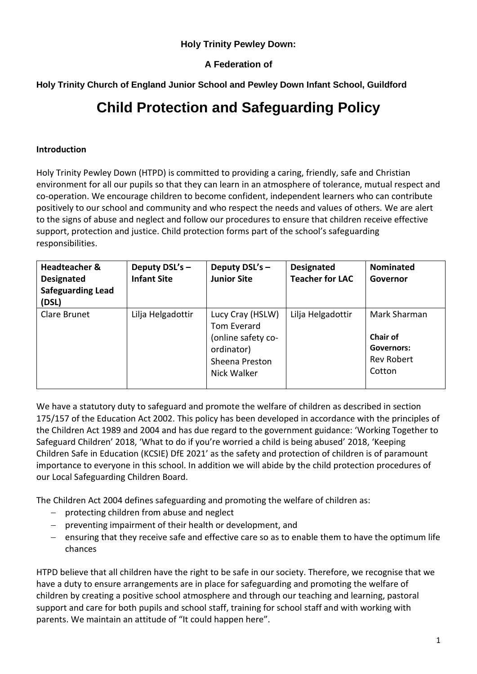### **Holy Trinity Pewley Down:**

### **A Federation of**

**Holy Trinity Church of England Junior School and Pewley Down Infant School, Guildford**

# **Child Protection and Safeguarding Policy**

#### **Introduction**

Holy Trinity Pewley Down (HTPD) is committed to providing a caring, friendly, safe and Christian environment for all our pupils so that they can learn in an atmosphere of tolerance, mutual respect and co-operation. We encourage children to become confident, independent learners who can contribute positively to our school and community and who respect the needs and values of others. We are alert to the signs of abuse and neglect and follow our procedures to ensure that children receive effective support, protection and justice. Child protection forms part of the school's safeguarding responsibilities.

| <b>Headteacher &amp;</b><br>Designated<br><b>Safeguarding Lead</b><br>(DSL) | Deputy DSL's -<br><b>Infant Site</b> | Deputy DSL's -<br><b>Junior Site</b>                                                                 | <b>Designated</b><br><b>Teacher for LAC</b> | <b>Nominated</b><br>Governor                                                 |
|-----------------------------------------------------------------------------|--------------------------------------|------------------------------------------------------------------------------------------------------|---------------------------------------------|------------------------------------------------------------------------------|
| Clare Brunet                                                                | Lilja Helgadottir                    | Lucy Cray (HSLW)<br>Tom Everard<br>(online safety co-<br>ordinator)<br>Sheena Preston<br>Nick Walker | Lilja Helgadottir                           | Mark Sharman<br><b>Chair of</b><br>Governors:<br><b>Rev Robert</b><br>Cotton |

We have a statutory duty to safeguard and promote the welfare of children as described in section 175/157 of the Education Act 2002. This policy has been developed in accordance with the principles of the Children Act 1989 and 2004 and has due regard to the government guidance: 'Working Together to Safeguard Children' 2018, 'What to do if you're worried a child is being abused' 2018, 'Keeping Children Safe in Education (KCSIE) DfE 2021' as the safety and protection of children is of paramount importance to everyone in this school. In addition we will abide by the child protection procedures of our Local Safeguarding Children Board.

The Children Act 2004 defines safeguarding and promoting the welfare of children as:

- $-$  protecting children from abuse and neglect
- preventing impairment of their health or development, and
- $-$  ensuring that they receive safe and effective care so as to enable them to have the optimum life chances

HTPD believe that all children have the right to be safe in our society. Therefore, we recognise that we have a duty to ensure arrangements are in place for safeguarding and promoting the welfare of children by creating a positive school atmosphere and through our teaching and learning, pastoral support and care for both pupils and school staff, training for school staff and with working with parents. We maintain an attitude of "It could happen here".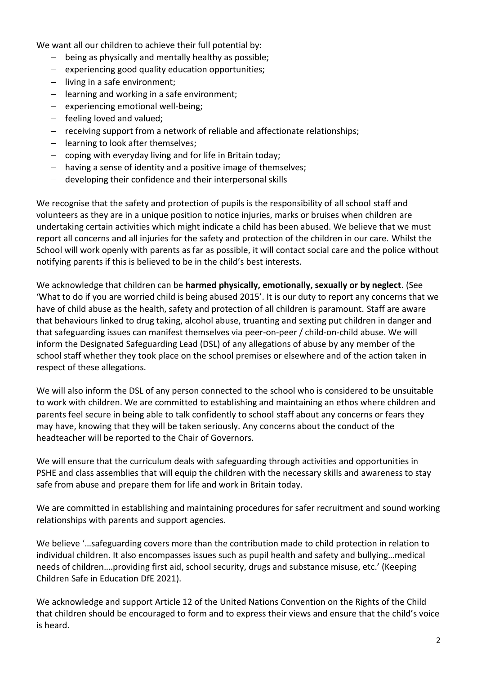We want all our children to achieve their full potential by:

- being as physically and mentally healthy as possible;
- $-$  experiencing good quality education opportunities;
- $-$  living in a safe environment;
- $-$  learning and working in a safe environment;
- $-$  experiencing emotional well-being;
- $-$  feeling loved and valued;
- receiving support from a network of reliable and affectionate relationships;
- $-$  learning to look after themselves;
- $-$  coping with everyday living and for life in Britain today;
- having a sense of identity and a positive image of themselves;
- developing their confidence and their interpersonal skills

We recognise that the safety and protection of pupils is the responsibility of all school staff and volunteers as they are in a unique position to notice injuries, marks or bruises when children are undertaking certain activities which might indicate a child has been abused. We believe that we must report all concerns and all injuries for the safety and protection of the children in our care. Whilst the School will work openly with parents as far as possible, it will contact social care and the police without notifying parents if this is believed to be in the child's best interests.

We acknowledge that children can be **harmed physically, emotionally, sexually or by neglect**. (See 'What to do if you are worried child is being abused 2015'. It is our duty to report any concerns that we have of child abuse as the health, safety and protection of all children is paramount. Staff are aware that behaviours linked to drug taking, alcohol abuse, truanting and sexting put children in danger and that safeguarding issues can manifest themselves via peer-on-peer / child-on-child abuse. We will inform the Designated Safeguarding Lead (DSL) of any allegations of abuse by any member of the school staff whether they took place on the school premises or elsewhere and of the action taken in respect of these allegations.

We will also inform the DSL of any person connected to the school who is considered to be unsuitable to work with children. We are committed to establishing and maintaining an ethos where children and parents feel secure in being able to talk confidently to school staff about any concerns or fears they may have, knowing that they will be taken seriously. Any concerns about the conduct of the headteacher will be reported to the Chair of Governors.

We will ensure that the curriculum deals with safeguarding through activities and opportunities in PSHE and class assemblies that will equip the children with the necessary skills and awareness to stay safe from abuse and prepare them for life and work in Britain today.

We are committed in establishing and maintaining procedures for safer recruitment and sound working relationships with parents and support agencies.

We believe '…safeguarding covers more than the contribution made to child protection in relation to individual children. It also encompasses issues such as pupil health and safety and bullying…medical needs of children….providing first aid, school security, drugs and substance misuse, etc.' (Keeping Children Safe in Education DfE 2021).

We acknowledge and support Article 12 of the United Nations Convention on the Rights of the Child that children should be encouraged to form and to express their views and ensure that the child's voice is heard.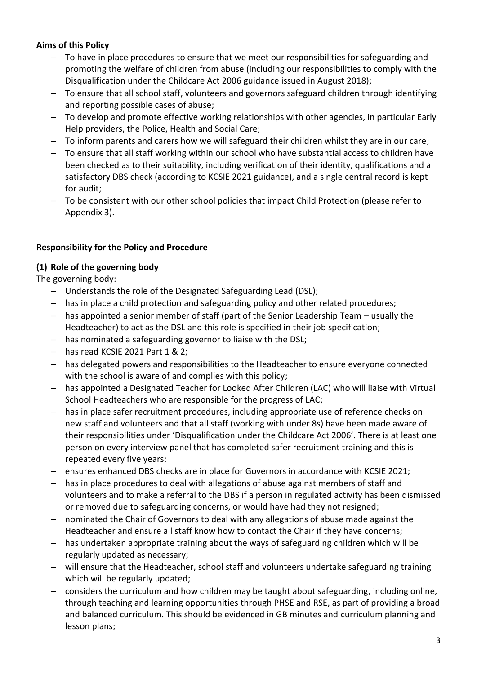### **Aims of this Policy**

- To have in place procedures to ensure that we meet our responsibilities for safeguarding and promoting the welfare of children from abuse (including our responsibilities to comply with the Disqualification under the Childcare Act 2006 guidance issued in August 2018);
- To ensure that all school staff, volunteers and governors safeguard children through identifying and reporting possible cases of abuse;
- To develop and promote effective working relationships with other agencies, in particular Early Help providers, the Police, Health and Social Care;
- To inform parents and carers how we will safeguard their children whilst they are in our care;
- To ensure that all staff working within our school who have substantial access to children have been checked as to their suitability, including verification of their identity, qualifications and a satisfactory DBS check (according to KCSIE 2021 guidance), and a single central record is kept for audit;
- To be consistent with our other school policies that impact Child Protection (please refer to Appendix 3).

### **Responsibility for the Policy and Procedure**

### **(1) Role of the governing body**

The governing body:

- Understands the role of the Designated Safeguarding Lead (DSL);
- has in place a child protection and safeguarding policy and other related procedures;
- $-$  has appointed a senior member of staff (part of the Senior Leadership Team usually the Headteacher) to act as the DSL and this role is specified in their job specification;
- $-$  has nominated a safeguarding governor to liaise with the DSL;
- $-$  has read KCSIE 2021 Part 1 & 2;
- has delegated powers and responsibilities to the Headteacher to ensure everyone connected with the school is aware of and complies with this policy;
- has appointed a Designated Teacher for Looked After Children (LAC) who will liaise with Virtual School Headteachers who are responsible for the progress of LAC;
- has in place safer recruitment procedures, including appropriate use of reference checks on new staff and volunteers and that all staff (working with under 8s) have been made aware of their responsibilities under 'Disqualification under the Childcare Act 2006'. There is at least one person on every interview panel that has completed safer recruitment training and this is repeated every five years;
- ensures enhanced DBS checks are in place for Governors in accordance with KCSIE 2021;
- has in place procedures to deal with allegations of abuse against members of staff and volunteers and to make a referral to the DBS if a person in regulated activity has been dismissed or removed due to safeguarding concerns, or would have had they not resigned;
- nominated the Chair of Governors to deal with any allegations of abuse made against the Headteacher and ensure all staff know how to contact the Chair if they have concerns;
- has undertaken appropriate training about the ways of safeguarding children which will be regularly updated as necessary;
- will ensure that the Headteacher, school staff and volunteers undertake safeguarding training which will be regularly updated;
- considers the curriculum and how children may be taught about safeguarding, including online, through teaching and learning opportunities through PHSE and RSE, as part of providing a broad and balanced curriculum. This should be evidenced in GB minutes and curriculum planning and lesson plans;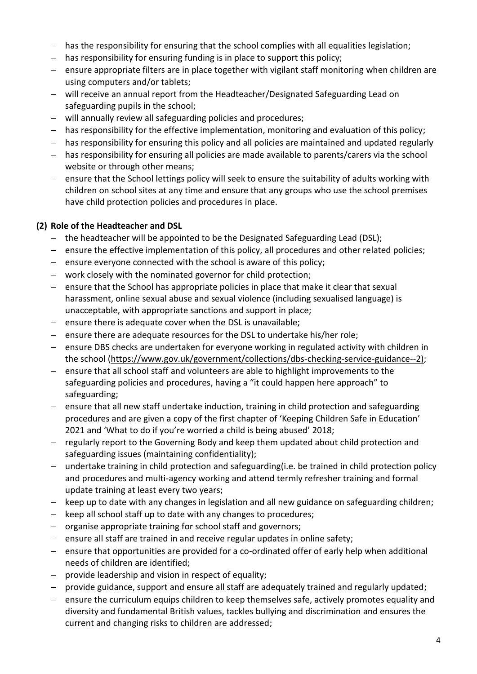- has the responsibility for ensuring that the school complies with all equalities legislation;
- $-$  has responsibility for ensuring funding is in place to support this policy;
- $-$  ensure appropriate filters are in place together with vigilant staff monitoring when children are using computers and/or tablets;
- will receive an annual report from the Headteacher/Designated Safeguarding Lead on safeguarding pupils in the school;
- will annually review all safeguarding policies and procedures;
- has responsibility for the effective implementation, monitoring and evaluation of this policy;
- has responsibility for ensuring this policy and all policies are maintained and updated regularly
- has responsibility for ensuring all policies are made available to parents/carers via the school website or through other means;
- ensure that the School lettings policy will seek to ensure the suitability of adults working with children on school sites at any time and ensure that any groups who use the school premises have child protection policies and procedures in place.

### **(2) Role of the Headteacher and DSL**

- the headteacher will be appointed to be the Designated Safeguarding Lead (DSL);
- ensure the effective implementation of this policy, all procedures and other related policies;
- $-$  ensure everyone connected with the school is aware of this policy;
- work closely with the nominated governor for child protection;
- $-$  ensure that the School has appropriate policies in place that make it clear that sexual harassment, online sexual abuse and sexual violence (including sexualised language) is unacceptable, with appropriate sanctions and support in place;
- $-$  ensure there is adequate cover when the DSL is unavailable;
- $-$  ensure there are adequate resources for the DSL to undertake his/her role;
- $-$  ensure DBS checks are undertaken for everyone working in regulated activity with children in the school [\(https://www.gov.uk/government/collections/dbs-checking-service-guidance--2\)](https://www.gov.uk/government/collections/dbs-checking-service-guidance--2);
- $e$  ensure that all school staff and volunteers are able to highlight improvements to the safeguarding policies and procedures, having a "it could happen here approach" to safeguarding;
- ensure that all new staff undertake induction, training in child protection and safeguarding procedures and are given a copy of the first chapter of 'Keeping Children Safe in Education' 2021 and 'What to do if you're worried a child is being abused' 2018;
- regularly report to the Governing Body and keep them updated about child protection and safeguarding issues (maintaining confidentiality);
- undertake training in child protection and safeguarding(i.e. be trained in child protection policy and procedures and multi-agency working and attend termly refresher training and formal update training at least every two years;
- $-$  keep up to date with any changes in legislation and all new guidance on safeguarding children;
- $-$  keep all school staff up to date with any changes to procedures;
- organise appropriate training for school staff and governors;
- ensure all staff are trained in and receive regular updates in online safety;
- $-$  ensure that opportunities are provided for a co-ordinated offer of early help when additional needs of children are identified;
- $-$  provide leadership and vision in respect of equality;
- provide guidance, support and ensure all staff are adequately trained and regularly updated;
- $-$  ensure the curriculum equips children to keep themselves safe, actively promotes equality and diversity and fundamental British values, tackles bullying and discrimination and ensures the current and changing risks to children are addressed;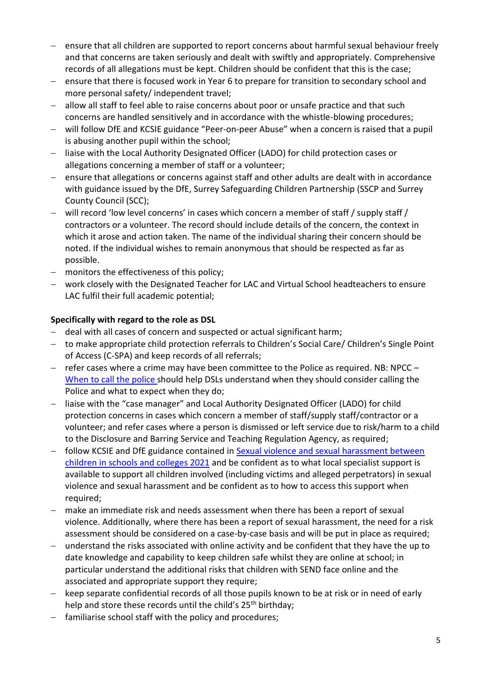- ensure that all children are supported to report concerns about harmful sexual behaviour freely and that concerns are taken seriously and dealt with swiftly and appropriately. Comprehensive records of all allegations must be kept. Children should be confident that this is the case;
- ensure that there is focused work in Year 6 to prepare for transition to secondary school and more personal safety/ independent travel;
- allow all staff to feel able to raise concerns about poor or unsafe practice and that such concerns are handled sensitively and in accordance with the whistle-blowing procedures;
- will follow DfE and KCSIE guidance "Peer-on-peer Abuse" when a concern is raised that a pupil is abusing another pupil within the school;
- liaise with the Local Authority Designated Officer (LADO) for child protection cases or allegations concerning a member of staff or a volunteer;
- ensure that allegations or concerns against staff and other adults are dealt with in accordance with guidance issued by the DfE, Surrey Safeguarding Children Partnership (SSCP and Surrey County Council (SCC);
- will record 'low level concerns' in cases which concern a member of staff / supply staff / contractors or a volunteer. The record should include details of the concern, the context in which it arose and action taken. The name of the individual sharing their concern should be noted. If the individual wishes to remain anonymous that should be respected as far as possible.
- monitors the effectiveness of this policy;
- work closely with the Designated Teacher for LAC and Virtual School headteachers to ensure LAC fulfil their full academic potential;

### **Specifically with regard to the role as DSL**

- deal with all cases of concern and suspected or actual significant harm;
- to make appropriate child protection referrals to Children's Social Care/ Children's Single Point of Access (C-SPA) and keep records of all referrals;
- $-$  refer cases where a crime may have been committee to the Police as required. NB: NPCC  $-$ [When to call the police](https://www.npcc.police.uk/documents/Children%20and%20Young%20people/When%20to%20call%20the%20police%20guidance%20for%20schools%20and%20colleges.pdf) should help DSLs understand when they should consider calling the Police and what to expect when they do;
- liaise with the "case manager" and Local Authority Designated Officer (LADO) for child protection concerns in cases which concern a member of staff/supply staff/contractor or a volunteer; and refer cases where a person is dismissed or left service due to risk/harm to a child to the Disclosure and Barring Service and Teaching Regulation Agency, as required;
- follow KCSIE and DfE guidance contained in Sexual violence and sexual harassment between [children in schools and colleges 2021](https://www.gov.uk/government/publications/sexual-violence-and-sexual-harassment-between-children-in-schools-and-collegesBe) and be confident as to what local specialist support is available to support all children involved (including victims and alleged perpetrators) in sexual violence and sexual harassment and be confident as to how to access this support when required;
- make an immediate risk and needs assessment when there has been a report of sexual violence. Additionally, where there has been a report of sexual harassment, the need for a risk assessment should be considered on a case-by-case basis and will be put in place as required;
- understand the risks associated with online activity and be confident that they have the up to date knowledge and capability to keep children safe whilst they are online at school; in particular understand the additional risks that children with SEND face online and the associated and appropriate support they require;
- keep separate confidential records of all those pupils known to be at risk or in need of early help and store these records until the child's 25<sup>th</sup> birthday;
- $-$  familiarise school staff with the policy and procedures;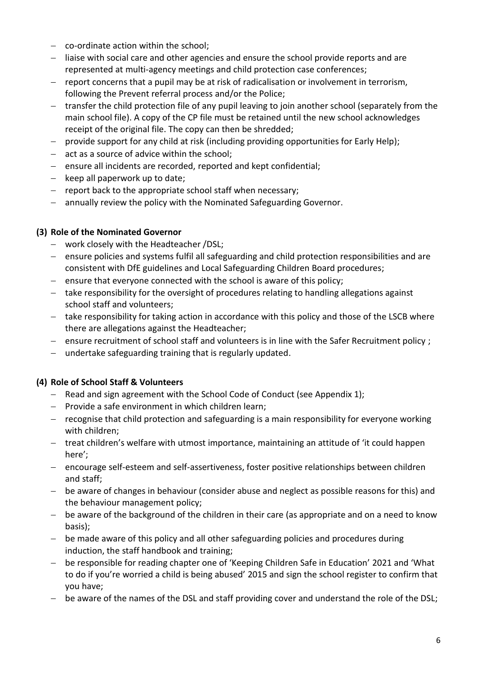- co-ordinate action within the school;
- liaise with social care and other agencies and ensure the school provide reports and are represented at multi-agency meetings and child protection case conferences;
- $-$  report concerns that a pupil may be at risk of radicalisation or involvement in terrorism, following the Prevent referral process and/or the Police;
- transfer the child protection file of any pupil leaving to join another school (separately from the main school file). A copy of the CP file must be retained until the new school acknowledges receipt of the original file. The copy can then be shredded;
- provide support for any child at risk (including providing opportunities for Early Help);
- $-$  act as a source of advice within the school;
- $-$  ensure all incidents are recorded, reported and kept confidential;
- $-$  keep all paperwork up to date;
- $-$  report back to the appropriate school staff when necessary;
- annually review the policy with the Nominated Safeguarding Governor.

### **(3) Role of the Nominated Governor**

- work closely with the Headteacher /DSL;
- ensure policies and systems fulfil all safeguarding and child protection responsibilities and are consistent with DfE guidelines and Local Safeguarding Children Board procedures;
- $-$  ensure that everyone connected with the school is aware of this policy;
- take responsibility for the oversight of procedures relating to handling allegations against school staff and volunteers;
- take responsibility for taking action in accordance with this policy and those of the LSCB where there are allegations against the Headteacher;
- ensure recruitment of school staff and volunteers is in line with the Safer Recruitment policy;
- undertake safeguarding training that is regularly updated.

### **(4) Role of School Staff & Volunteers**

- Read and sign agreement with the School Code of Conduct (see Appendix 1);
- $-$  Provide a safe environment in which children learn;
- recognise that child protection and safeguarding is a main responsibility for everyone working with children;
- treat children's welfare with utmost importance, maintaining an attitude of 'it could happen here';
- encourage self-esteem and self-assertiveness, foster positive relationships between children and staff;
- be aware of changes in behaviour (consider abuse and neglect as possible reasons for this) and the behaviour management policy;
- be aware of the background of the children in their care (as appropriate and on a need to know basis);
- $-$  be made aware of this policy and all other safeguarding policies and procedures during induction, the staff handbook and training;
- be responsible for reading chapter one of 'Keeping Children Safe in Education' 2021 and 'What to do if you're worried a child is being abused' 2015 and sign the school register to confirm that you have;
- be aware of the names of the DSL and staff providing cover and understand the role of the DSL;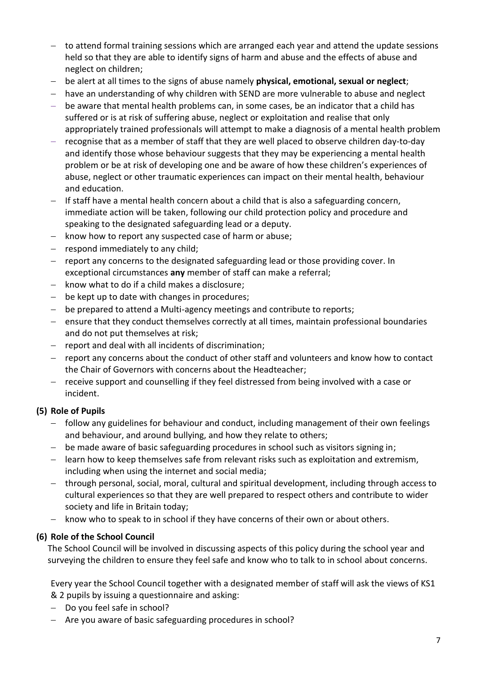- to attend formal training sessions which are arranged each year and attend the update sessions held so that they are able to identify signs of harm and abuse and the effects of abuse and neglect on children;
- be alert at all times to the signs of abuse namely **physical, emotional, sexual or neglect**;
- have an understanding of why children with SEND are more vulnerable to abuse and neglect
- be aware that mental health problems can, in some cases, be an indicator that a child has suffered or is at risk of suffering abuse, neglect or exploitation and realise that only appropriately trained professionals will attempt to make a diagnosis of a mental health problem
- recognise that as a member of staff that they are well placed to observe children day-to-day and identify those whose behaviour suggests that they may be experiencing a mental health problem or be at risk of developing one and be aware of how these children's experiences of abuse, neglect or other traumatic experiences can impact on their mental health, behaviour and education.
- $-$  If staff have a mental health concern about a child that is also a safeguarding concern, immediate action will be taken, following our child protection policy and procedure and speaking to the designated safeguarding lead or a deputy.
- know how to report any suspected case of harm or abuse;
- $-$  respond immediately to any child;
- report any concerns to the designated safeguarding lead or those providing cover. In exceptional circumstances **any** member of staff can make a referral;
- $-$  know what to do if a child makes a disclosure;
- be kept up to date with changes in procedures;
- be prepared to attend a Multi-agency meetings and contribute to reports;
- ensure that they conduct themselves correctly at all times, maintain professional boundaries and do not put themselves at risk;
- $-$  report and deal with all incidents of discrimination;
- report any concerns about the conduct of other staff and volunteers and know how to contact the Chair of Governors with concerns about the Headteacher;
- $-$  receive support and counselling if they feel distressed from being involved with a case or incident.

### **(5) Role of Pupils**

- follow any guidelines for behaviour and conduct, including management of their own feelings and behaviour, and around bullying, and how they relate to others;
- $-$  be made aware of basic safeguarding procedures in school such as visitors signing in;
- learn how to keep themselves safe from relevant risks such as exploitation and extremism, including when using the internet and social media;
- through personal, social, moral, cultural and spiritual development, including through access to cultural experiences so that they are well prepared to respect others and contribute to wider society and life in Britain today;
- know who to speak to in school if they have concerns of their own or about others.

### **(6) Role of the School Council**

The School Council will be involved in discussing aspects of this policy during the school year and surveying the children to ensure they feel safe and know who to talk to in school about concerns.

Every year the School Council together with a designated member of staff will ask the views of KS1 & 2 pupils by issuing a questionnaire and asking:

- Do you feel safe in school?
- Are you aware of basic safeguarding procedures in school?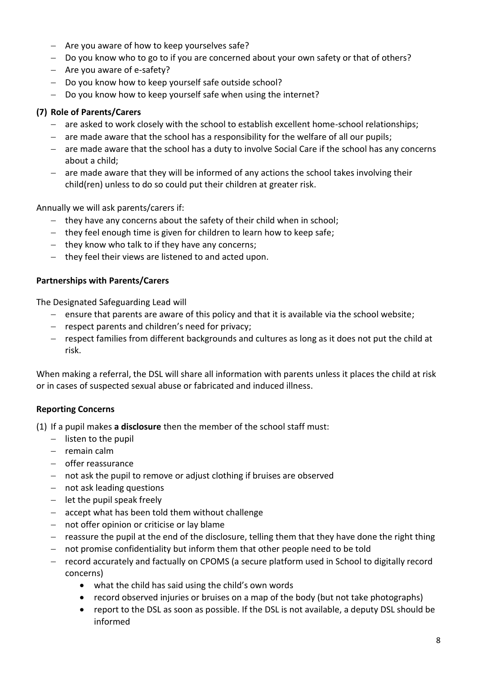- $-$  Are you aware of how to keep yourselves safe?
- Do you know who to go to if you are concerned about your own safety or that of others?
- $-$  Are you aware of e-safety?
- Do you know how to keep yourself safe outside school?
- Do you know how to keep yourself safe when using the internet?

### **(7) Role of Parents/Carers**

- are asked to work closely with the school to establish excellent home-school relationships;
- $-$  are made aware that the school has a responsibility for the welfare of all our pupils;
- are made aware that the school has a duty to involve Social Care if the school has any concerns about a child;
- are made aware that they will be informed of any actions the school takes involving their child(ren) unless to do so could put their children at greater risk.

Annually we will ask parents/carers if:

- $-$  they have any concerns about the safety of their child when in school;
- $-$  they feel enough time is given for children to learn how to keep safe;
- $-$  they know who talk to if they have any concerns;
- $-$  they feel their views are listened to and acted upon.

### **Partnerships with Parents/Carers**

The Designated Safeguarding Lead will

- ensure that parents are aware of this policy and that it is available via the school website;
- $-$  respect parents and children's need for privacy;
- respect families from different backgrounds and cultures as long as it does not put the child at risk.

When making a referral, the DSL will share all information with parents unless it places the child at risk or in cases of suspected sexual abuse or fabricated and induced illness.

### **Reporting Concerns**

(1) If a pupil makes **a disclosure** then the member of the school staff must:

- $-$  listen to the pupil
- $-$  remain calm
- offer reassurance
- not ask the pupil to remove or adjust clothing if bruises are observed
- not ask leading questions
- $-$  let the pupil speak freely
- accept what has been told them without challenge
- $-$  not offer opinion or criticise or lay blame
- $-$  reassure the pupil at the end of the disclosure, telling them that they have done the right thing
- not promise confidentiality but inform them that other people need to be told
- record accurately and factually on CPOMS (a secure platform used in School to digitally record concerns)
	- what the child has said using the child's own words
	- record observed injuries or bruises on a map of the body (but not take photographs)
	- report to the DSL as soon as possible. If the DSL is not available, a deputy DSL should be informed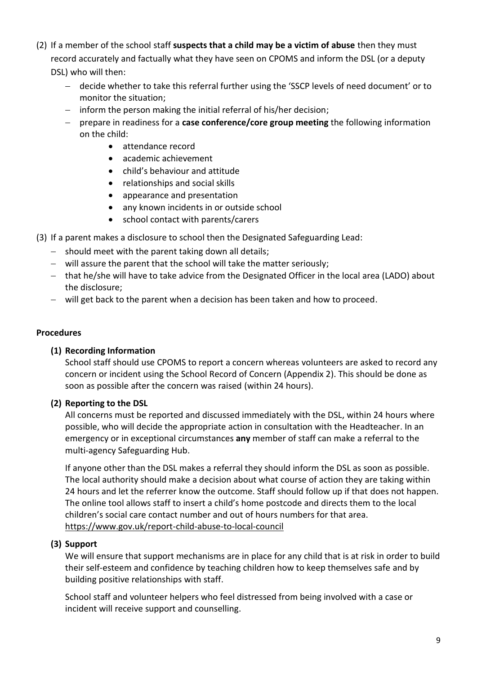- (2) If a member of the school staff **suspects that a child may be a victim of abuse** then they must record accurately and factually what they have seen on CPOMS and inform the DSL (or a deputy DSL) who will then:
	- decide whether to take this referral further using the 'SSCP levels of need document' or to monitor the situation;
	- $-$  inform the person making the initial referral of his/her decision;
	- prepare in readiness for a **case conference/core group meeting** the following information on the child:
		- attendance record
		- academic achievement
		- child's behaviour and attitude
		- relationships and social skills
		- appearance and presentation
		- any known incidents in or outside school
		- school contact with parents/carers
- (3) If a parent makes a disclosure to school then the Designated Safeguarding Lead:
	- $-$  should meet with the parent taking down all details;
	- will assure the parent that the school will take the matter seriously;
	- that he/she will have to take advice from the Designated Officer in the local area (LADO) about the disclosure;
	- will get back to the parent when a decision has been taken and how to proceed.

### **Procedures**

### **(1) Recording Information**

School staff should use CPOMS to report a concern whereas volunteers are asked to record any concern or incident using the School Record of Concern (Appendix 2). This should be done as soon as possible after the concern was raised (within 24 hours).

### **(2) Reporting to the DSL**

All concerns must be reported and discussed immediately with the DSL, within 24 hours where possible, who will decide the appropriate action in consultation with the Headteacher. In an emergency or in exceptional circumstances **any** member of staff can make a referral to the multi-agency Safeguarding Hub.

If anyone other than the DSL makes a referral they should inform the DSL as soon as possible. The local authority should make a decision about what course of action they are taking within 24 hours and let the referrer know the outcome. Staff should follow up if that does not happen. The online tool allows staff to insert a child's home postcode and directs them to the local children's social care contact number and out of hours numbers for that area. <https://www.gov.uk/report-child-abuse-to-local-council>

### **(3) Support**

We will ensure that support mechanisms are in place for any child that is at risk in order to build their self-esteem and confidence by teaching children how to keep themselves safe and by building positive relationships with staff.

School staff and volunteer helpers who feel distressed from being involved with a case or incident will receive support and counselling.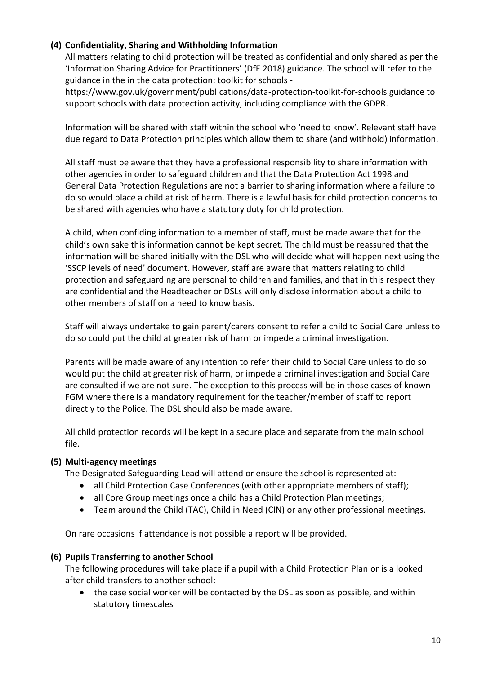### **(4) Confidentiality, Sharing and Withholding Information**

All matters relating to child protection will be treated as confidential and only shared as per the 'Information Sharing Advice for Practitioners' (DfE 2018) guidance. The school will refer to the guidance in the in the data protection: toolkit for schools -

https://www.gov.uk/government/publications/data-protection-toolkit-for-schools guidance to support schools with data protection activity, including compliance with the GDPR.

Information will be shared with staff within the school who 'need to know'. Relevant staff have due regard to Data Protection principles which allow them to share (and withhold) information.

All staff must be aware that they have a professional responsibility to share information with other agencies in order to safeguard children and that the Data Protection Act 1998 and General Data Protection Regulations are not a barrier to sharing information where a failure to do so would place a child at risk of harm. There is a lawful basis for child protection concerns to be shared with agencies who have a statutory duty for child protection.

A child, when confiding information to a member of staff, must be made aware that for the child's own sake this information cannot be kept secret. The child must be reassured that the information will be shared initially with the DSL who will decide what will happen next using the 'SSCP levels of need' document. However, staff are aware that matters relating to child protection and safeguarding are personal to children and families, and that in this respect they are confidential and the Headteacher or DSLs will only disclose information about a child to other members of staff on a need to know basis.

Staff will always undertake to gain parent/carers consent to refer a child to Social Care unless to do so could put the child at greater risk of harm or impede a criminal investigation.

Parents will be made aware of any intention to refer their child to Social Care unless to do so would put the child at greater risk of harm, or impede a criminal investigation and Social Care are consulted if we are not sure. The exception to this process will be in those cases of known FGM where there is a mandatory requirement for the teacher/member of staff to report directly to the Police. The DSL should also be made aware.

All child protection records will be kept in a secure place and separate from the main school file.

### **(5) Multi-agency meetings**

The Designated Safeguarding Lead will attend or ensure the school is represented at:

- all Child Protection Case Conferences (with other appropriate members of staff);
- all Core Group meetings once a child has a Child Protection Plan meetings;
- Team around the Child (TAC), Child in Need (CIN) or any other professional meetings.

On rare occasions if attendance is not possible a report will be provided.

### **(6) Pupils Transferring to another School**

The following procedures will take place if a pupil with a Child Protection Plan or is a looked after child transfers to another school:

 the case social worker will be contacted by the DSL as soon as possible, and within statutory timescales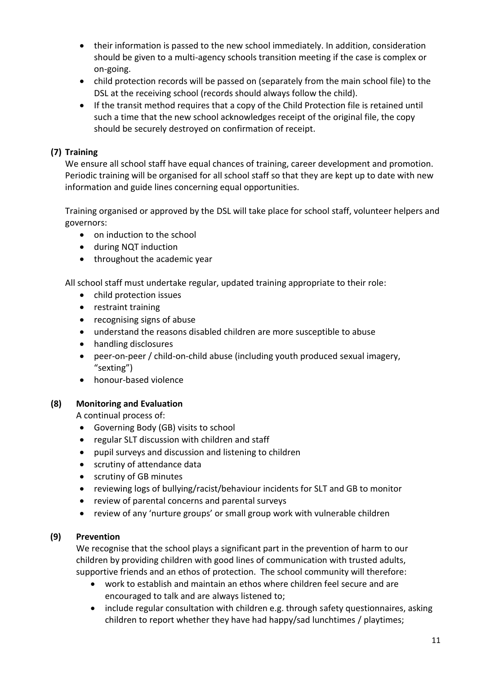- their information is passed to the new school immediately. In addition, consideration should be given to a multi-agency schools transition meeting if the case is complex or on-going.
- child protection records will be passed on (separately from the main school file) to the DSL at the receiving school (records should always follow the child).
- If the transit method requires that a copy of the Child Protection file is retained until such a time that the new school acknowledges receipt of the original file, the copy should be securely destroyed on confirmation of receipt.

### **(7) Training**

We ensure all school staff have equal chances of training, career development and promotion. Periodic training will be organised for all school staff so that they are kept up to date with new information and guide lines concerning equal opportunities.

Training organised or approved by the DSL will take place for school staff, volunteer helpers and governors:

- on induction to the school
- during NQT induction
- throughout the academic year

All school staff must undertake regular, updated training appropriate to their role:

- child protection issues
- restraint training
- recognising signs of abuse
- understand the reasons disabled children are more susceptible to abuse
- handling disclosures
- peer-on-peer / child-on-child abuse (including youth produced sexual imagery, "sexting")
- honour-based violence

### **(8) Monitoring and Evaluation**

A continual process of:

- Governing Body (GB) visits to school
- regular SLT discussion with children and staff
- pupil surveys and discussion and listening to children
- scrutiny of attendance data
- scrutiny of GB minutes
- reviewing logs of bullying/racist/behaviour incidents for SLT and GB to monitor
- review of parental concerns and parental surveys
- review of any 'nurture groups' or small group work with vulnerable children

### **(9) Prevention**

We recognise that the school plays a significant part in the prevention of harm to our children by providing children with good lines of communication with trusted adults, supportive friends and an ethos of protection. The school community will therefore:

- work to establish and maintain an ethos where children feel secure and are encouraged to talk and are always listened to;
- include regular consultation with children e.g. through safety questionnaires, asking children to report whether they have had happy/sad lunchtimes / playtimes;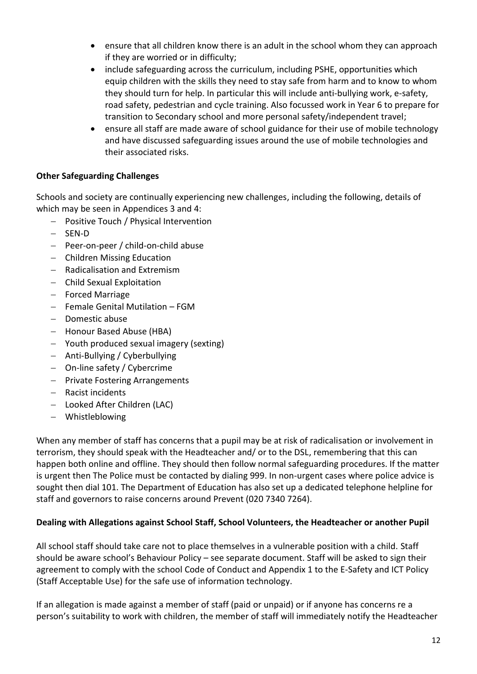- ensure that all children know there is an adult in the school whom they can approach if they are worried or in difficulty;
- include safeguarding across the curriculum, including PSHE, opportunities which equip children with the skills they need to stay safe from harm and to know to whom they should turn for help. In particular this will include anti-bullying work, e-safety, road safety, pedestrian and cycle training. Also focussed work in Year 6 to prepare for transition to Secondary school and more personal safety/independent travel;
- ensure all staff are made aware of school guidance for their use of mobile technology and have discussed safeguarding issues around the use of mobile technologies and their associated risks.

### **Other Safeguarding Challenges**

Schools and society are continually experiencing new challenges, including the following, details of which may be seen in Appendices 3 and 4:

- Positive Touch / Physical Intervention
- SEN-D
- $-$  Peer-on-peer / child-on-child abuse
- Children Missing Education
- $-$  Radicalisation and Extremism
- Child Sexual Exploitation
- Forced Marriage
- $-$  Female Genital Mutilation FGM
- Domestic abuse
- Honour Based Abuse (HBA)
- Youth produced sexual imagery (sexting)
- Anti-Bullying / Cyberbullying
- On-line safety / Cybercrime
- Private Fostering Arrangements
- Racist incidents
- Looked After Children (LAC)
- Whistleblowing

When any member of staff has concerns that a pupil may be at risk of radicalisation or involvement in terrorism, they should speak with the Headteacher and/ or to the DSL, remembering that this can happen both online and offline. They should then follow normal safeguarding procedures. If the matter is urgent then The Police must be contacted by dialing 999. In non-urgent cases where police advice is sought then dial 101. The Department of Education has also set up a dedicated telephone helpline for staff and governors to raise concerns around Prevent (020 7340 7264).

### **Dealing with Allegations against School Staff, School Volunteers, the Headteacher or another Pupil**

All school staff should take care not to place themselves in a vulnerable position with a child. Staff should be aware school's Behaviour Policy – see separate document. Staff will be asked to sign their agreement to comply with the school Code of Conduct and Appendix 1 to the E-Safety and ICT Policy (Staff Acceptable Use) for the safe use of information technology.

If an allegation is made against a member of staff (paid or unpaid) or if anyone has concerns re a person's suitability to work with children, the member of staff will immediately notify the Headteacher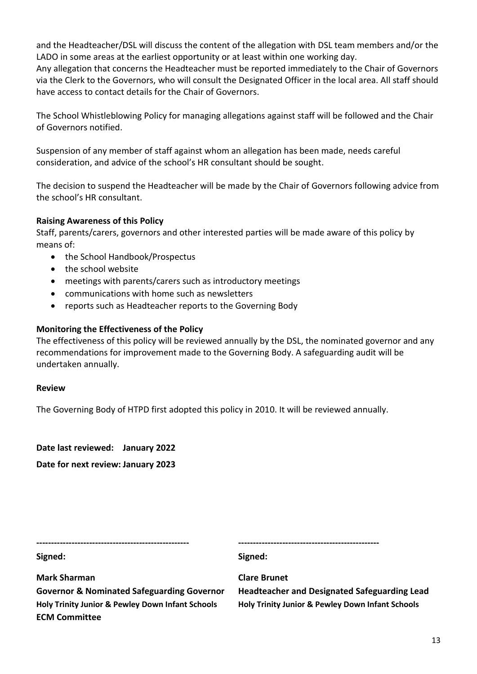and the Headteacher/DSL will discuss the content of the allegation with DSL team members and/or the LADO in some areas at the earliest opportunity or at least within one working day.

Any allegation that concerns the Headteacher must be reported immediately to the Chair of Governors via the Clerk to the Governors, who will consult the Designated Officer in the local area. All staff should have access to contact details for the Chair of Governors.

The School Whistleblowing Policy for managing allegations against staff will be followed and the Chair of Governors notified.

Suspension of any member of staff against whom an allegation has been made, needs careful consideration, and advice of the school's HR consultant should be sought.

The decision to suspend the Headteacher will be made by the Chair of Governors following advice from the school's HR consultant.

### **Raising Awareness of this Policy**

Staff, parents/carers, governors and other interested parties will be made aware of this policy by means of:

- the School Handbook/Prospectus
- the school website
- meetings with parents/carers such as introductory meetings
- communications with home such as newsletters
- reports such as Headteacher reports to the Governing Body

### **Monitoring the Effectiveness of the Policy**

The effectiveness of this policy will be reviewed annually by the DSL, the nominated governor and any recommendations for improvement made to the Governing Body. A safeguarding audit will be undertaken annually.

### **Review**

The Governing Body of HTPD first adopted this policy in 2010. It will be reviewed annually.

**Date last reviewed: January 2022 Date for next review: January 2023**

| Signed:             | Signed:             |
|---------------------|---------------------|
| <b>Mark Sharman</b> | <b>Clare Brunet</b> |

**Holy Trinity Junior & Pewley Down Infant Schools Holy Trinity Junior & Pewley Down Infant Schools ECM Committee**

**Governor & Nominated Safeguarding Governor Headteacher and Designated Safeguarding Lead**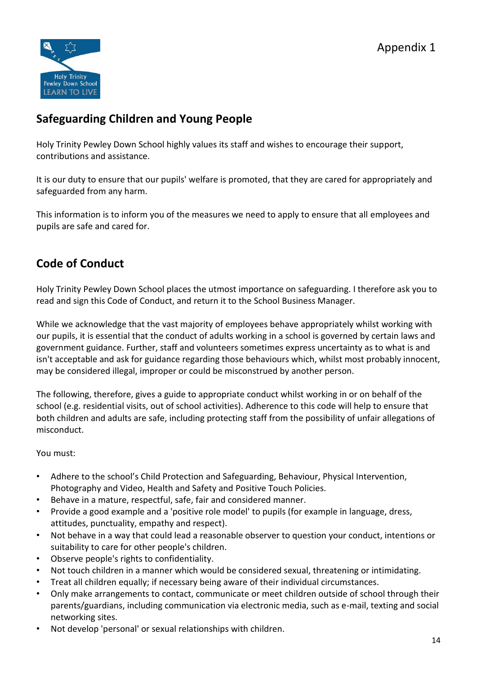

## **Safeguarding Children and Young People**

Holy Trinity Pewley Down School highly values its staff and wishes to encourage their support, contributions and assistance.

It is our duty to ensure that our pupils' welfare is promoted, that they are cared for appropriately and safeguarded from any harm.

This information is to inform you of the measures we need to apply to ensure that all employees and pupils are safe and cared for.

## **Code of Conduct**

Holy Trinity Pewley Down School places the utmost importance on safeguarding. I therefore ask you to read and sign this Code of Conduct, and return it to the School Business Manager.

While we acknowledge that the vast majority of employees behave appropriately whilst working with our pupils, it is essential that the conduct of adults working in a school is governed by certain laws and government guidance. Further, staff and volunteers sometimes express uncertainty as to what is and isn't acceptable and ask for guidance regarding those behaviours which, whilst most probably innocent, may be considered illegal, improper or could be misconstrued by another person.

The following, therefore, gives a guide to appropriate conduct whilst working in or on behalf of the school (e.g. residential visits, out of school activities). Adherence to this code will help to ensure that both children and adults are safe, including protecting staff from the possibility of unfair allegations of misconduct.

### You must:

- Adhere to the school's Child Protection and Safeguarding, Behaviour, Physical Intervention, Photography and Video, Health and Safety and Positive Touch Policies.
- Behave in a mature, respectful, safe, fair and considered manner.
- Provide a good example and a 'positive role model' to pupils (for example in language, dress, attitudes, punctuality, empathy and respect).
- Not behave in a way that could lead a reasonable observer to question your conduct, intentions or suitability to care for other people's children.
- Observe people's rights to confidentiality.
- Not touch children in a manner which would be considered sexual, threatening or intimidating.
- Treat all children equally; if necessary being aware of their individual circumstances.
- Only make arrangements to contact, communicate or meet children outside of school through their parents/guardians, including communication via electronic media, such as e-mail, texting and social networking sites.
- Not develop 'personal' or sexual relationships with children.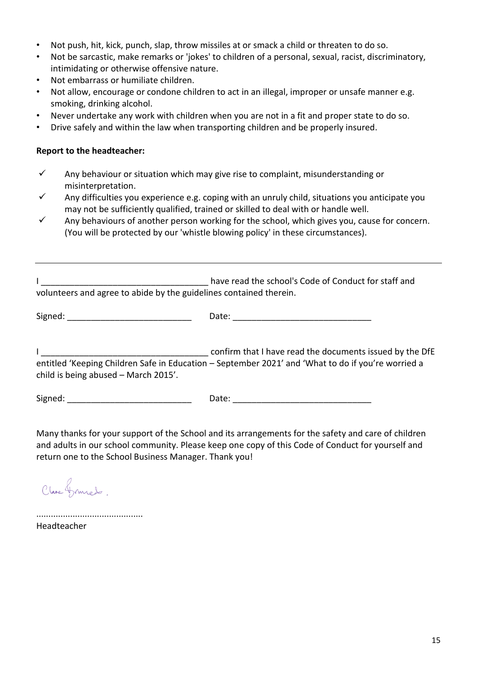- Not push, hit, kick, punch, slap, throw missiles at or smack a child or threaten to do so.
- Not be sarcastic, make remarks or 'jokes' to children of a personal, sexual, racist, discriminatory, intimidating or otherwise offensive nature.
- Not embarrass or humiliate children.
- Not allow, encourage or condone children to act in an illegal, improper or unsafe manner e.g. smoking, drinking alcohol.
- Never undertake any work with children when you are not in a fit and proper state to do so.
- Drive safely and within the law when transporting children and be properly insured.

#### **Report to the headteacher:**

- $\checkmark$  Any behaviour or situation which may give rise to complaint, misunderstanding or misinterpretation.
- $\checkmark$  Any difficulties you experience e.g. coping with an unruly child, situations you anticipate you may not be sufficiently qualified, trained or skilled to deal with or handle well.
- $\checkmark$  Any behaviours of another person working for the school, which gives you, cause for concern. (You will be protected by our 'whistle blowing policy' in these circumstances).

| volunteers and agree to abide by the guidelines contained therein. | have read the school's Code of Conduct for staff and                                                                                                           |
|--------------------------------------------------------------------|----------------------------------------------------------------------------------------------------------------------------------------------------------------|
|                                                                    | Date:                                                                                                                                                          |
| child is being abused - March 2015'.                               | confirm that I have read the documents issued by the DfE<br>entitled 'Keeping Children Safe in Education – September 2021' and 'What to do if you're worried a |

Signed: The contract of the contract of Date:  $\Box$  Date:  $\Box$  Date:  $\Box$  Date:  $\Box$ 

Many thanks for your support of the School and its arrangements for the safety and care of children and adults in our school community. Please keep one copy of this Code of Conduct for yourself and return one to the School Business Manager. Thank you!

Clare Grunes.

............................................ Headteacher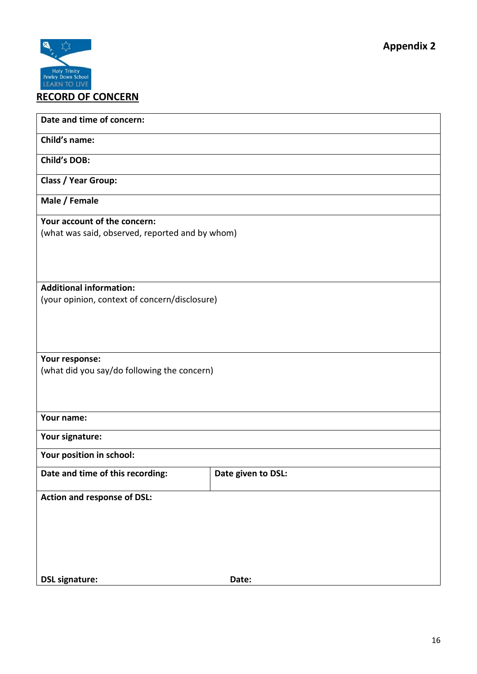

**Date and time of concern:**

**Child's name:**

**Child's DOB:**

**Class / Year Group:**

**Male / Female**

**Your account of the concern:** (what was said, observed, reported and by whom)

**Additional information:** (your opinion, context of concern/disclosure)

**Your response:** (what did you say/do following the concern)

### **Your name:**

**Your signature:**

**Your position in school:**

| Date and time of this recording: | Date given to DSL: |
|----------------------------------|--------------------|
|                                  |                    |

**Action and response of DSL:**

**DSL signature: Date:**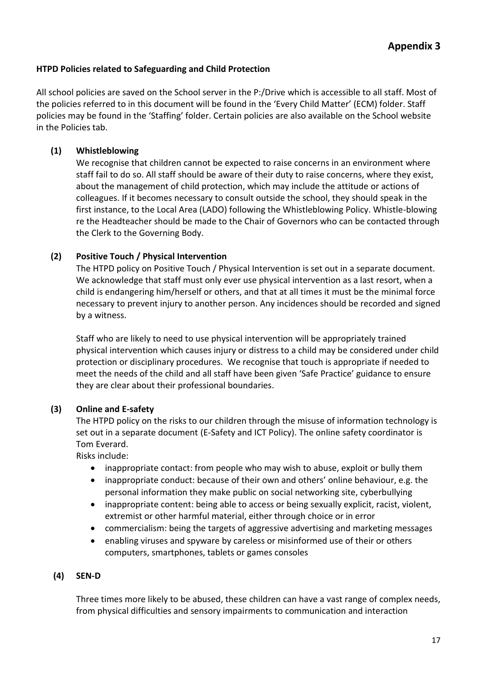### **HTPD Policies related to Safeguarding and Child Protection**

All school policies are saved on the School server in the P:/Drive which is accessible to all staff. Most of the policies referred to in this document will be found in the 'Every Child Matter' (ECM) folder. Staff policies may be found in the 'Staffing' folder. Certain policies are also available on the School website in the Policies tab.

### **(1) Whistleblowing**

We recognise that children cannot be expected to raise concerns in an environment where staff fail to do so. All staff should be aware of their duty to raise concerns, where they exist, about the management of child protection, which may include the attitude or actions of colleagues. If it becomes necessary to consult outside the school, they should speak in the first instance, to the Local Area (LADO) following the Whistleblowing Policy. Whistle-blowing re the Headteacher should be made to the Chair of Governors who can be contacted through the Clerk to the Governing Body.

### **(2) Positive Touch / Physical Intervention**

The HTPD policy on Positive Touch / Physical Intervention is set out in a separate document. We acknowledge that staff must only ever use physical intervention as a last resort, when a child is endangering him/herself or others, and that at all times it must be the minimal force necessary to prevent injury to another person. Any incidences should be recorded and signed by a witness.

Staff who are likely to need to use physical intervention will be appropriately trained physical intervention which causes injury or distress to a child may be considered under child protection or disciplinary procedures. We recognise that touch is appropriate if needed to meet the needs of the child and all staff have been given 'Safe Practice' guidance to ensure they are clear about their professional boundaries.

### **(3) Online and E-safety**

The HTPD policy on the risks to our children through the misuse of information technology is set out in a separate document (E-Safety and ICT Policy). The online safety coordinator is Tom Everard.

Risks include:

- inappropriate contact: from people who may wish to abuse, exploit or bully them
- inappropriate conduct: because of their own and others' online behaviour, e.g. the personal information they make public on social networking site, cyberbullying
- inappropriate content: being able to access or being sexually explicit, racist, violent, extremist or other harmful material, either through choice or in error
- commercialism: being the targets of aggressive advertising and marketing messages
- enabling viruses and spyware by careless or misinformed use of their or others computers, smartphones, tablets or games consoles

### **(4) SEN-D**

Three times more likely to be abused, these children can have a vast range of complex needs, from physical difficulties and sensory impairments to communication and interaction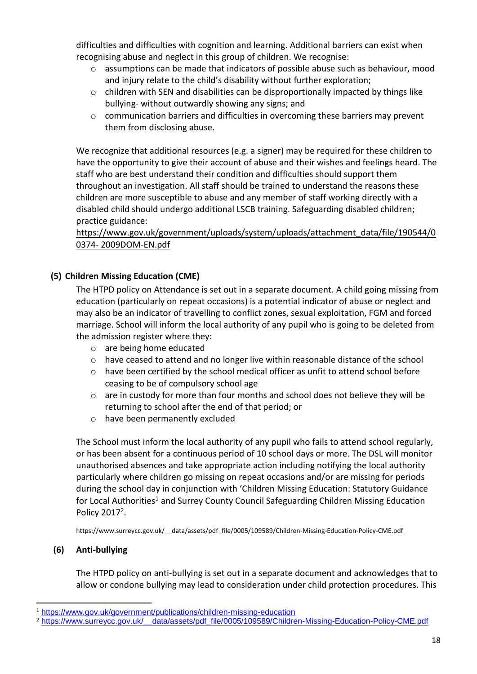difficulties and difficulties with cognition and learning. Additional barriers can exist when recognising abuse and neglect in this group of children. We recognise:

- $\circ$  assumptions can be made that indicators of possible abuse such as behaviour, mood and injury relate to the child's disability without further exploration;
- $\circ$  children with SEN and disabilities can be disproportionally impacted by things like bullying- without outwardly showing any signs; and
- o communication barriers and difficulties in overcoming these barriers may prevent them from disclosing abuse.

We recognize that additional resources (e.g. a signer) may be required for these children to have the opportunity to give their account of abuse and their wishes and feelings heard. The staff who are best understand their condition and difficulties should support them throughout an investigation. All staff should be trained to understand the reasons these children are more susceptible to abuse and any member of staff working directly with a disabled child should undergo additional LSCB training. Safeguarding disabled children; practice guidance:

### [https://www.gov.uk/government/uploads/system/uploads/attachment\\_data/file/190544/0](https://www.gov.uk/government/uploads/system/uploads/attachment_data/file/190544/00374-%202009DOM-EN.pdf) 0374- [2009DOM-EN.pdf](https://www.gov.uk/government/uploads/system/uploads/attachment_data/file/190544/00374-%202009DOM-EN.pdf)

### **(5) Children Missing Education (CME)**

The HTPD policy on Attendance is set out in a separate document. A child going missing from education (particularly on repeat occasions) is a potential indicator of abuse or neglect and may also be an indicator of travelling to conflict zones, sexual exploitation, FGM and forced marriage. School will inform the local authority of any pupil who is going to be deleted from the admission register where they:

- o are being home educated
- o have ceased to attend and no longer live within reasonable distance of the school
- o have been certified by the school medical officer as unfit to attend school before ceasing to be of compulsory school age
- $\circ$  are in custody for more than four months and school does not believe they will be returning to school after the end of that period; or
- o have been permanently excluded

The School must inform the local authority of any pupil who fails to attend school regularly, or has been absent for a continuous period of 10 school days or more. The DSL will monitor unauthorised absences and take appropriate action including notifying the local authority particularly where children go missing on repeat occasions and/or are missing for periods during the school day in conjunction with 'Children Missing Education: Statutory Guidance for Local Authorities<sup>1</sup> and Surrey County Council Safeguarding Children Missing Education Policy 2017<sup>2</sup>.

[https://www.surreycc.gov.uk/\\_\\_data/assets/pdf\\_file/0005/109589/Children-Missing-Education-Policy-CME.pdf](https://www.surreycc.gov.uk/__data/assets/pdf_file/0005/109589/Children-Missing-Education-Policy-CME.pdf)

### **(6) Anti-bullying**

1

The HTPD policy on anti-bullying is set out in a separate document and acknowledges that to allow or condone bullying may lead to consideration under child protection procedures. This

<sup>1</sup> <https://www.gov.uk/government/publications/children-missing-education>

<sup>2</sup> [https://www.surreycc.gov.uk/\\_\\_data/assets/pdf\\_file/0005/109589/Children-Missing-Education-Policy-CME.pdf](https://www.surreycc.gov.uk/__data/assets/pdf_file/0005/109589/Children-Missing-Education-Policy-CME.pdf)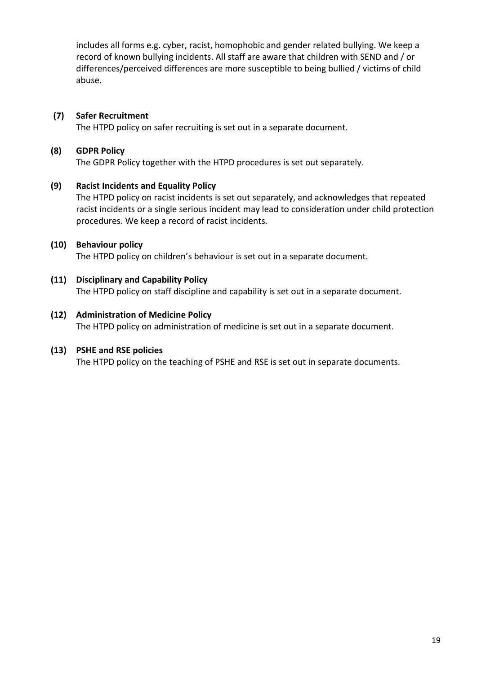includes all forms e.g. cyber, racist, homophobic and gender related bullying. We keep a record of known bullying incidents. All staff are aware that children with SEND and / or differences/perceived differences are more susceptible to being bullied / victims of child abuse.

### **(7) Safer Recruitment**

The HTPD policy on safer recruiting is set out in a separate document.

### **(8) GDPR Policy**

The GDPR Policy together with the HTPD procedures is set out separately.

### **(9) Racist Incidents and Equality Policy**

The HTPD policy on racist incidents is set out separately, and acknowledges that repeated racist incidents or a single serious incident may lead to consideration under child protection procedures. We keep a record of racist incidents.

### **(10) Behaviour policy**

The HTPD policy on children's behaviour is set out in a separate document.

### **(11) Disciplinary and Capability Policy** The HTPD policy on staff discipline and capability is set out in a separate document.

### **(12) Administration of Medicine Policy**

The HTPD policy on administration of medicine is set out in a separate document.

### **(13) PSHE and RSE policies**

The HTPD policy on the teaching of PSHE and RSE is set out in separate documents.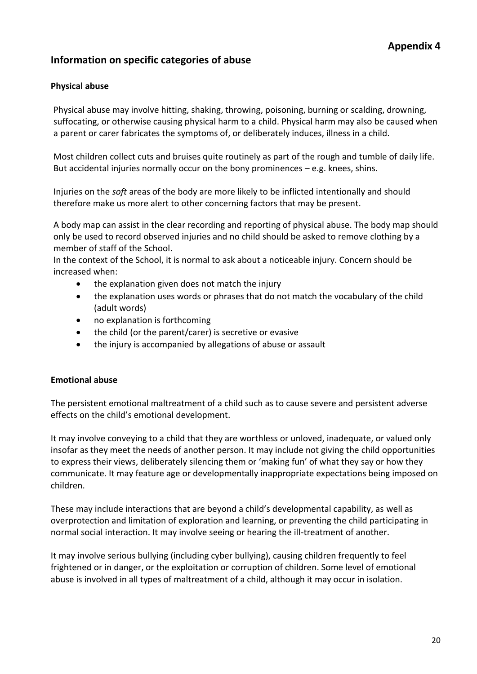### **Information on specific categories of abuse**

### **Physical abuse**

Physical abuse may involve hitting, shaking, throwing, poisoning, burning or scalding, drowning, suffocating, or otherwise causing physical harm to a child. Physical harm may also be caused when a parent or carer fabricates the symptoms of, or deliberately induces, illness in a child.

Most children collect cuts and bruises quite routinely as part of the rough and tumble of daily life. But accidental injuries normally occur on the bony prominences – e.g. knees, shins.

Injuries on the *soft* areas of the body are more likely to be inflicted intentionally and should therefore make us more alert to other concerning factors that may be present.

A body map can assist in the clear recording and reporting of physical abuse. The body map should only be used to record observed injuries and no child should be asked to remove clothing by a member of staff of the School.

In the context of the School, it is normal to ask about a noticeable injury. Concern should be increased when:

- the explanation given does not match the injury
- the explanation uses words or phrases that do not match the vocabulary of the child (adult words)
- no explanation is forthcoming
- the child (or the parent/carer) is secretive or evasive
- the injury is accompanied by allegations of abuse or assault

### **Emotional abuse**

The persistent emotional maltreatment of a child such as to cause severe and persistent adverse effects on the child's emotional development.

It may involve conveying to a child that they are worthless or unloved, inadequate, or valued only insofar as they meet the needs of another person. It may include not giving the child opportunities to express their views, deliberately silencing them or 'making fun' of what they say or how they communicate. It may feature age or developmentally inappropriate expectations being imposed on children.

These may include interactions that are beyond a child's developmental capability, as well as overprotection and limitation of exploration and learning, or preventing the child participating in normal social interaction. It may involve seeing or hearing the ill-treatment of another.

It may involve serious bullying (including cyber bullying), causing children frequently to feel frightened or in danger, or the exploitation or corruption of children. Some level of emotional abuse is involved in all types of maltreatment of a child, although it may occur in isolation.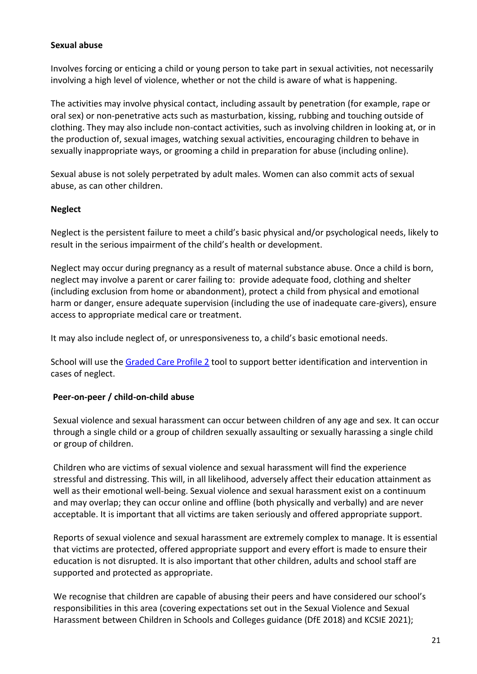#### **Sexual abuse**

Involves forcing or enticing a child or young person to take part in sexual activities, not necessarily involving a high level of violence, whether or not the child is aware of what is happening.

The activities may involve physical contact, including assault by penetration (for example, rape or oral sex) or non-penetrative acts such as masturbation, kissing, rubbing and touching outside of clothing. They may also include non-contact activities, such as involving children in looking at, or in the production of, sexual images, watching sexual activities, encouraging children to behave in sexually inappropriate ways, or grooming a child in preparation for abuse (including online).

Sexual abuse is not solely perpetrated by adult males. Women can also commit acts of sexual abuse, as can other children.

### **Neglect**

Neglect is the persistent failure to meet a child's basic physical and/or psychological needs, likely to result in the serious impairment of the child's health or development.

Neglect may occur during pregnancy as a result of maternal substance abuse. Once a child is born, neglect may involve a parent or carer failing to: provide adequate food, clothing and shelter (including exclusion from home or abandonment), protect a child from physical and emotional harm or danger, ensure adequate supervision (including the use of inadequate care-givers), ensure access to appropriate medical care or treatment.

It may also include neglect of, or unresponsiveness to, a child's basic emotional needs.

School will use th[e Graded Care Profile 2](https://www.surreyscp.org.uk/professionals/resources-for-professionals/abuse-neglect/) tool to support better identification and intervention in cases of neglect.

#### **Peer-on-peer / child-on-child abuse**

Sexual violence and sexual harassment can occur between children of any age and sex. It can occur through a single child or a group of children sexually assaulting or sexually harassing a single child or group of children.

Children who are victims of sexual violence and sexual harassment will find the experience stressful and distressing. This will, in all likelihood, adversely affect their education attainment as well as their emotional well-being. Sexual violence and sexual harassment exist on a continuum and may overlap; they can occur online and offline (both physically and verbally) and are never acceptable. It is important that all victims are taken seriously and offered appropriate support.

Reports of sexual violence and sexual harassment are extremely complex to manage. It is essential that victims are protected, offered appropriate support and every effort is made to ensure their education is not disrupted. It is also important that other children, adults and school staff are supported and protected as appropriate.

We recognise that children are capable of abusing their peers and have considered our school's responsibilities in this area (covering expectations set out in the Sexual Violence and Sexual Harassment between Children in Schools and Colleges guidance (DfE 2018) and KCSIE 2021);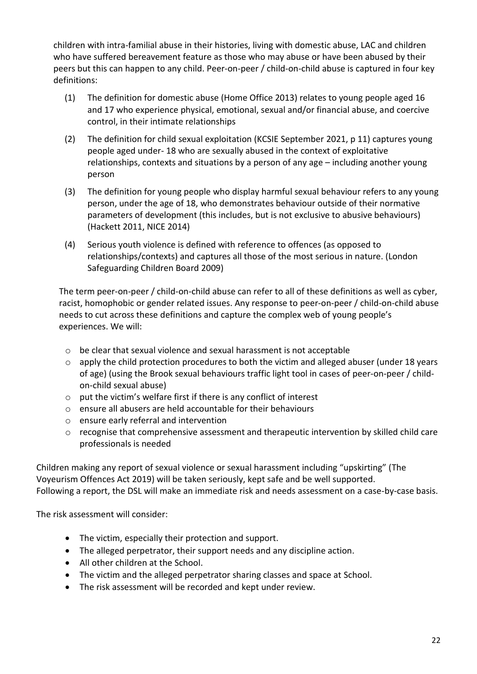children with intra-familial abuse in their histories, living with domestic abuse, LAC and children who have suffered bereavement feature as those who may abuse or have been abused by their peers but this can happen to any child. Peer-on-peer / child-on-child abuse is captured in four key definitions:

- (1) The definition for domestic abuse (Home Office 2013) relates to young people aged 16 and 17 who experience physical, emotional, sexual and/or financial abuse, and coercive control, in their intimate relationships
- (2) The definition for child sexual exploitation (KCSIE September 2021, p 11) captures young people aged under- 18 who are sexually abused in the context of exploitative relationships, contexts and situations by a person of any age – including another young person
- (3) The definition for young people who display harmful sexual behaviour refers to any young person, under the age of 18, who demonstrates behaviour outside of their normative parameters of development (this includes, but is not exclusive to abusive behaviours) (Hackett 2011, NICE 2014)
- (4) Serious youth violence is defined with reference to offences (as opposed to relationships/contexts) and captures all those of the most serious in nature. (London Safeguarding Children Board 2009)

The term peer-on-peer / child-on-child abuse can refer to all of these definitions as well as cyber, racist, homophobic or gender related issues. Any response to peer-on-peer / child-on-child abuse needs to cut across these definitions and capture the complex web of young people's experiences. We will:

- o be clear that sexual violence and sexual harassment is not acceptable
- $\circ$  apply the child protection procedures to both the victim and alleged abuser (under 18 years of age) (using the Brook sexual behaviours traffic light tool in cases of peer-on-peer / childon-child sexual abuse)
- $\circ$  put the victim's welfare first if there is any conflict of interest
- o ensure all abusers are held accountable for their behaviours
- o ensure early referral and intervention
- o recognise that comprehensive assessment and therapeutic intervention by skilled child care professionals is needed

Children making any report of sexual violence or sexual harassment including "upskirting" (The Voyeurism Offences Act 2019) will be taken seriously, kept safe and be well supported. Following a report, the DSL will make an immediate risk and needs assessment on a case-by-case basis.

The risk assessment will consider:

- The victim, especially their protection and support.
- The alleged perpetrator, their support needs and any discipline action.
- All other children at the School.
- The victim and the alleged perpetrator sharing classes and space at School.
- The risk assessment will be recorded and kept under review.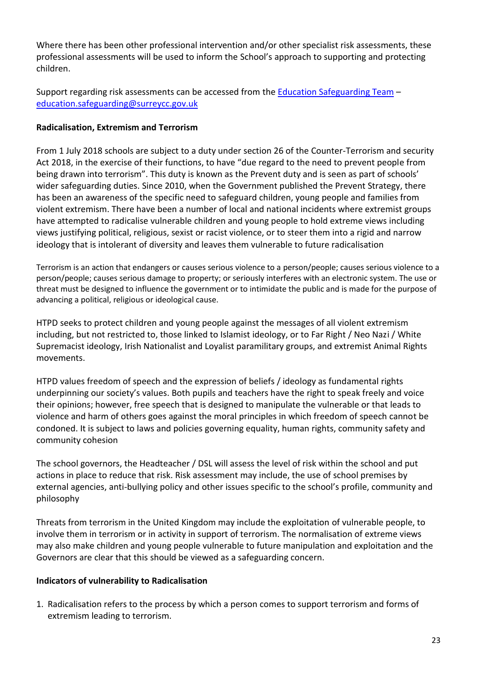Where there has been other professional intervention and/or other specialist risk assessments, these professional assessments will be used to inform the School's approach to supporting and protecting children.

Support regarding risk assessments can be accessed from th[e Education Safeguarding Team](https://www.surreycc.gov.uk/schools-and-learning/teachers-and-education-staff/educational-advice-and-support/safeguarding) – [education.safeguarding@surreycc.gov.uk](mailto:education.safeguarding@surreycc.gov.uk)

### **Radicalisation, Extremism and Terrorism**

From 1 July 2018 schools are subject to a duty under section 26 of the Counter-Terrorism and security Act 2018, in the exercise of their functions, to have "due regard to the need to prevent people from being drawn into terrorism". This duty is known as the Prevent duty and is seen as part of schools' wider safeguarding duties. Since 2010, when the Government published the Prevent Strategy, there has been an awareness of the specific need to safeguard children, young people and families from violent extremism. There have been a number of local and national incidents where extremist groups have attempted to radicalise vulnerable children and young people to hold extreme views including views justifying political, religious, sexist or racist violence, or to steer them into a rigid and narrow ideology that is intolerant of diversity and leaves them vulnerable to future radicalisation

Terrorism is an action that endangers or causes serious violence to a person/people; causes serious violence to a person/people; causes serious damage to property; or seriously interferes with an electronic system. The use or threat must be designed to influence the government or to intimidate the public and is made for the purpose of advancing a political, religious or ideological cause.

HTPD seeks to protect children and young people against the messages of all violent extremism including, but not restricted to, those linked to Islamist ideology, or to Far Right / Neo Nazi / White Supremacist ideology, Irish Nationalist and Loyalist paramilitary groups, and extremist Animal Rights movements.

HTPD values freedom of speech and the expression of beliefs / ideology as fundamental rights underpinning our society's values. Both pupils and teachers have the right to speak freely and voice their opinions; however, free speech that is designed to manipulate the vulnerable or that leads to violence and harm of others goes against the moral principles in which freedom of speech cannot be condoned. It is subject to laws and policies governing equality, human rights, community safety and community cohesion

The school governors, the Headteacher / DSL will assess the level of risk within the school and put actions in place to reduce that risk. Risk assessment may include, the use of school premises by external agencies, anti-bullying policy and other issues specific to the school's profile, community and philosophy

Threats from terrorism in the United Kingdom may include the exploitation of vulnerable people, to involve them in terrorism or in activity in support of terrorism. The normalisation of extreme views may also make children and young people vulnerable to future manipulation and exploitation and the Governors are clear that this should be viewed as a safeguarding concern.

### **Indicators of vulnerability to Radicalisation**

1. Radicalisation refers to the process by which a person comes to support terrorism and forms of extremism leading to terrorism.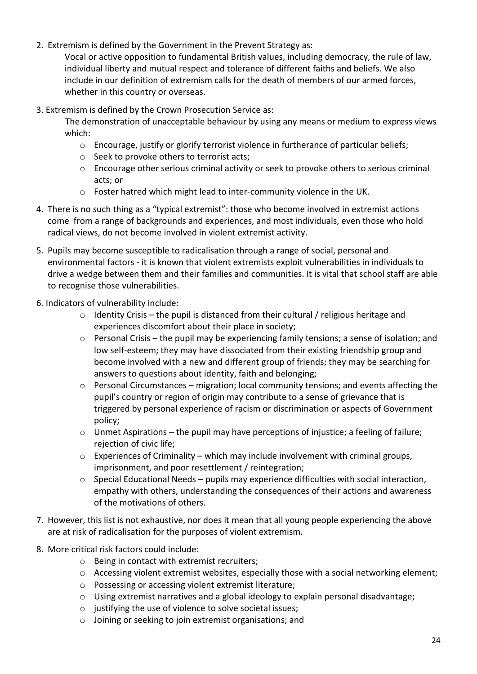2. Extremism is defined by the Government in the Prevent Strategy as:

Vocal or active opposition to fundamental British values, including democracy, the rule of law, individual liberty and mutual respect and tolerance of different faiths and beliefs. We also include in our definition of extremism calls for the death of members of our armed forces, whether in this country or overseas.

- 3. Extremism is defined by the Crown Prosecution Service as:
	- The demonstration of unacceptable behaviour by using any means or medium to express views which:
		- $\circ$  Encourage, justify or glorify terrorist violence in furtherance of particular beliefs;
		- o Seek to provoke others to terrorist acts;
		- o Encourage other serious criminal activity or seek to provoke others to serious criminal acts; or
		- o Foster hatred which might lead to inter-community violence in the UK.
- 4. There is no such thing as a "typical extremist": those who become involved in extremist actions come from a range of backgrounds and experiences, and most individuals, even those who hold radical views, do not become involved in violent extremist activity.
- 5. Pupils may become susceptible to radicalisation through a range of social, personal and environmental factors - it is known that violent extremists exploit vulnerabilities in individuals to drive a wedge between them and their families and communities. It is vital that school staff are able to recognise those vulnerabilities.
- 6. Indicators of vulnerability include:
	- $\circ$  Identity Crisis the pupil is distanced from their cultural / religious heritage and experiences discomfort about their place in society;
	- o Personal Crisis the pupil may be experiencing family tensions; a sense of isolation; and low self-esteem; they may have dissociated from their existing friendship group and become involved with a new and different group of friends; they may be searching for answers to questions about identity, faith and belonging;
	- o Personal Circumstances migration; local community tensions; and events affecting the pupil's country or region of origin may contribute to a sense of grievance that is triggered by personal experience of racism or discrimination or aspects of Government policy;
	- $\circ$  Unmet Aspirations the pupil may have perceptions of injustice; a feeling of failure; rejection of civic life;
	- $\circ$  Experiences of Criminality which may include involvement with criminal groups, imprisonment, and poor resettlement / reintegration;
	- o Special Educational Needs pupils may experience difficulties with social interaction, empathy with others, understanding the consequences of their actions and awareness of the motivations of others.
- 7. However, this list is not exhaustive, nor does it mean that all young people experiencing the above are at risk of radicalisation for the purposes of violent extremism.
- 8. More critical risk factors could include:
	- o Being in contact with extremist recruiters;
	- o Accessing violent extremist websites, especially those with a social networking element;
	- o Possessing or accessing violent extremist literature;
	- o Using extremist narratives and a global ideology to explain personal disadvantage;
	- o justifying the use of violence to solve societal issues;
	- o Joining or seeking to join extremist organisations; and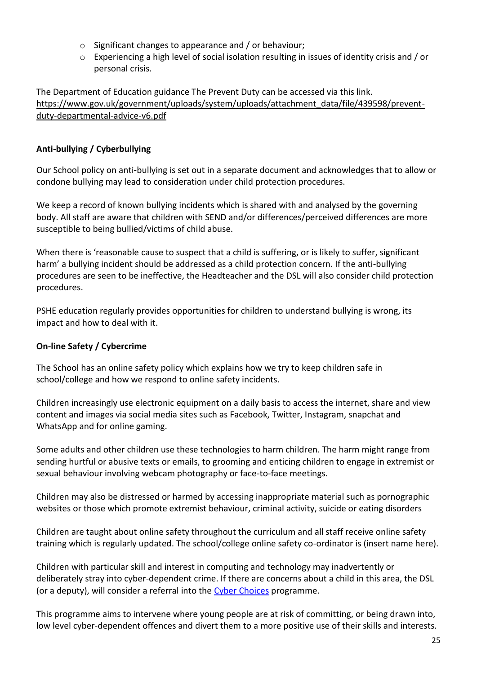- o Significant changes to appearance and / or behaviour;
- o Experiencing a high level of social isolation resulting in issues of identity crisis and / or personal crisis.

The Department of Education guidance The Prevent Duty can be accessed via this link. [https://www.gov.uk/government/uploads/system/uploads/attachment\\_data/file/439598/prevent](https://www.gov.uk/government/uploads/system/uploads/attachment_data/file/439598/prevent-duty-departmental-advice-v6.pdf)[duty-departmental-advice-v6.pdf](https://www.gov.uk/government/uploads/system/uploads/attachment_data/file/439598/prevent-duty-departmental-advice-v6.pdf)

### **Anti-bullying / Cyberbullying**

Our School policy on anti-bullying is set out in a separate document and acknowledges that to allow or condone bullying may lead to consideration under child protection procedures.

We keep a record of known bullying incidents which is shared with and analysed by the governing body. All staff are aware that children with SEND and/or differences/perceived differences are more susceptible to being bullied/victims of child abuse.

When there is 'reasonable cause to suspect that a child is suffering, or is likely to suffer, significant harm' a bullying incident should be addressed as a child protection concern. If the anti-bullying procedures are seen to be ineffective, the Headteacher and the DSL will also consider child protection procedures.

PSHE education regularly provides opportunities for children to understand bullying is wrong, its impact and how to deal with it.

### **On-line Safety / Cybercrime**

The School has an online safety policy which explains how we try to keep children safe in school/college and how we respond to online safety incidents.

Children increasingly use electronic equipment on a daily basis to access the internet, share and view content and images via social media sites such as Facebook, Twitter, Instagram, snapchat and WhatsApp and for online gaming.

Some adults and other children use these technologies to harm children. The harm might range from sending hurtful or abusive texts or emails, to grooming and enticing children to engage in extremist or sexual behaviour involving webcam photography or face-to-face meetings.

Children may also be distressed or harmed by accessing inappropriate material such as pornographic websites or those which promote extremist behaviour, criminal activity, suicide or eating disorders

Children are taught about online safety throughout the curriculum and all staff receive online safety training which is regularly updated. The school/college online safety co-ordinator is (insert name here).

Children with particular skill and interest in computing and technology may inadvertently or deliberately stray into cyber-dependent crime. If there are concerns about a child in this area, the DSL (or a deputy), will consider a referral into the [Cyber Choices](http://www.cyberchoices.uk/) programme.

This programme aims to intervene where young people are at risk of committing, or being drawn into, low level cyber-dependent offences and divert them to a more positive use of their skills and interests.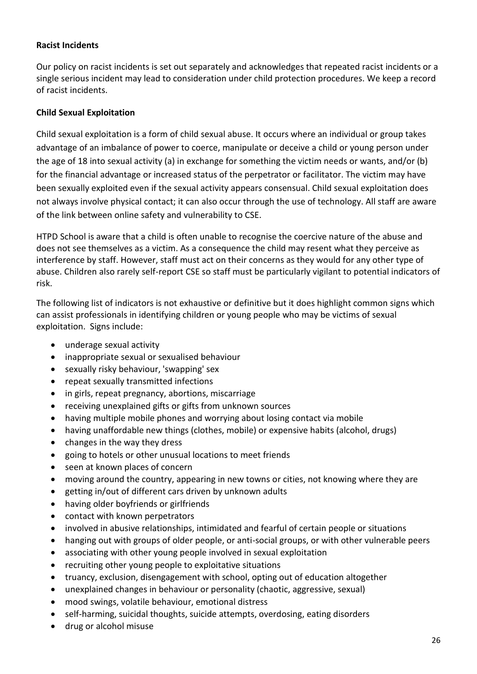### **Racist Incidents**

Our policy on racist incidents is set out separately and acknowledges that repeated racist incidents or a single serious incident may lead to consideration under child protection procedures. We keep a record of racist incidents.

#### **Child Sexual Exploitation**

Child sexual exploitation is a form of child sexual abuse. It occurs where an individual or group takes advantage of an imbalance of power to coerce, manipulate or deceive a child or young person under the age of 18 into sexual activity (a) in exchange for something the victim needs or wants, and/or (b) for the financial advantage or increased status of the perpetrator or facilitator. The victim may have been sexually exploited even if the sexual activity appears consensual. Child sexual exploitation does not always involve physical contact; it can also occur through the use of technology. All staff are aware of the link between online safety and vulnerability to CSE.

HTPD School is aware that a child is often unable to recognise the coercive nature of the abuse and does not see themselves as a victim. As a consequence the child may resent what they perceive as interference by staff. However, staff must act on their concerns as they would for any other type of abuse. Children also rarely self-report CSE so staff must be particularly vigilant to potential indicators of risk.

The following list of indicators is not exhaustive or definitive but it does highlight common signs which can assist professionals in identifying children or young people who may be victims of sexual exploitation. Signs include:

- underage sexual activity
- inappropriate sexual or sexualised behaviour
- sexually risky behaviour, 'swapping' sex
- repeat sexually transmitted infections
- in girls, repeat pregnancy, abortions, miscarriage
- receiving unexplained gifts or gifts from unknown sources
- having multiple mobile phones and worrying about losing contact via mobile
- having unaffordable new things (clothes, mobile) or expensive habits (alcohol, drugs)
- changes in the way they dress
- going to hotels or other unusual locations to meet friends
- seen at known places of concern
- moving around the country, appearing in new towns or cities, not knowing where they are
- getting in/out of different cars driven by unknown adults
- having older boyfriends or girlfriends
- contact with known perpetrators
- involved in abusive relationships, intimidated and fearful of certain people or situations
- hanging out with groups of older people, or anti-social groups, or with other vulnerable peers
- associating with other young people involved in sexual exploitation
- recruiting other young people to exploitative situations
- truancy, exclusion, disengagement with school, opting out of education altogether
- unexplained changes in behaviour or personality (chaotic, aggressive, sexual)
- mood swings, volatile behaviour, emotional distress
- self-harming, suicidal thoughts, suicide attempts, overdosing, eating disorders
- drug or alcohol misuse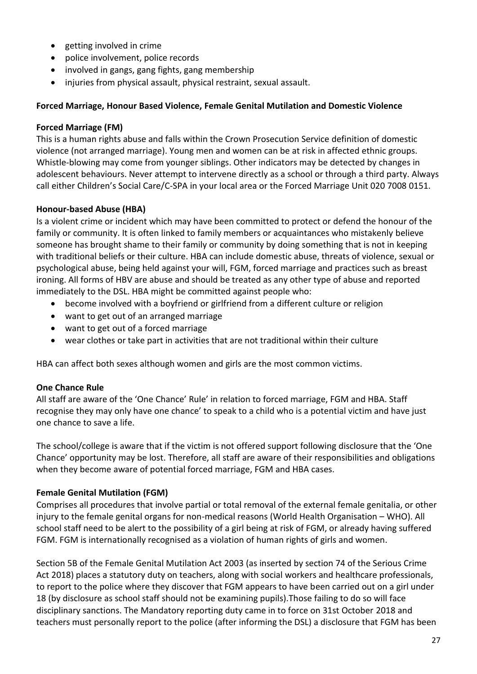- getting involved in crime
- police involvement, police records
- involved in gangs, gang fights, gang membership
- injuries from physical assault, physical restraint, sexual assault.

#### **Forced Marriage, Honour Based Violence, Female Genital Mutilation and Domestic Violence**

#### **Forced Marriage (FM)**

This is a human rights abuse and falls within the Crown Prosecution Service definition of domestic violence (not arranged marriage). Young men and women can be at risk in affected ethnic groups. Whistle-blowing may come from younger siblings. Other indicators may be detected by changes in adolescent behaviours. Never attempt to intervene directly as a school or through a third party. Always call either Children's Social Care/C-SPA in your local area or the Forced Marriage Unit 020 7008 0151.

### **Honour-based Abuse (HBA)**

Is a violent crime or incident which may have been committed to protect or defend the honour of the family or community. It is often linked to family members or acquaintances who mistakenly believe someone has brought shame to their family or community by doing something that is not in keeping with traditional beliefs or their culture. HBA can include domestic abuse, threats of violence, sexual or psychological abuse, being held against your will, FGM, forced marriage and practices such as breast ironing. All forms of HBV are abuse and should be treated as any other type of abuse and reported immediately to the DSL. HBA might be committed against people who:

- become involved with a boyfriend or girlfriend from a different culture or religion
- want to get out of an arranged marriage
- want to get out of a forced marriage
- wear clothes or take part in activities that are not traditional within their culture

HBA can affect both sexes although women and girls are the most common victims.

### **One Chance Rule**

All staff are aware of the 'One Chance' Rule' in relation to forced marriage, FGM and HBA. Staff recognise they may only have one chance' to speak to a child who is a potential victim and have just one chance to save a life.

The school/college is aware that if the victim is not offered support following disclosure that the 'One Chance' opportunity may be lost. Therefore, all staff are aware of their responsibilities and obligations when they become aware of potential forced marriage, FGM and HBA cases.

### **Female Genital Mutilation (FGM)**

Comprises all procedures that involve partial or total removal of the external female genitalia, or other injury to the female genital organs for non-medical reasons (World Health Organisation – WHO). All school staff need to be alert to the possibility of a girl being at risk of FGM, or already having suffered FGM. FGM is internationally recognised as a violation of human rights of girls and women.

Section 5B of the Female Genital Mutilation Act 2003 (as inserted by section 74 of the Serious Crime Act 2018) places a statutory duty on teachers, along with social workers and healthcare professionals, to report to the police where they discover that FGM appears to have been carried out on a girl under 18 (by disclosure as school staff should not be examining pupils).Those failing to do so will face disciplinary sanctions. The Mandatory reporting duty came in to force on 31st October 2018 and teachers must personally report to the police (after informing the DSL) a disclosure that FGM has been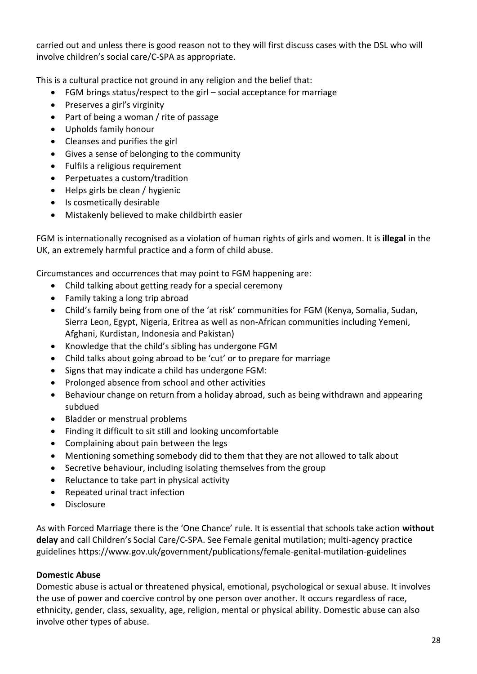carried out and unless there is good reason not to they will first discuss cases with the DSL who will involve children's social care/C-SPA as appropriate.

This is a cultural practice not ground in any religion and the belief that:

- FGM brings status/respect to the girl social acceptance for marriage
- Preserves a girl's virginity
- Part of being a woman / rite of passage
- Upholds family honour
- Cleanses and purifies the girl
- Gives a sense of belonging to the community
- Fulfils a religious requirement
- Perpetuates a custom/tradition
- Helps girls be clean / hygienic
- Is cosmetically desirable
- Mistakenly believed to make childbirth easier

FGM is internationally recognised as a violation of human rights of girls and women. It is **illegal** in the UK, an extremely harmful practice and a form of child abuse.

Circumstances and occurrences that may point to FGM happening are:

- Child talking about getting ready for a special ceremony
- Family taking a long trip abroad
- Child's family being from one of the 'at risk' communities for FGM (Kenya, Somalia, Sudan, Sierra Leon, Egypt, Nigeria, Eritrea as well as non-African communities including Yemeni, Afghani, Kurdistan, Indonesia and Pakistan)
- Knowledge that the child's sibling has undergone FGM
- Child talks about going abroad to be 'cut' or to prepare for marriage
- Signs that may indicate a child has undergone FGM:
- Prolonged absence from school and other activities
- Behaviour change on return from a holiday abroad, such as being withdrawn and appearing subdued
- Bladder or menstrual problems
- Finding it difficult to sit still and looking uncomfortable
- Complaining about pain between the legs
- Mentioning something somebody did to them that they are not allowed to talk about
- Secretive behaviour, including isolating themselves from the group
- Reluctance to take part in physical activity
- Repeated urinal tract infection
- · Disclosure

As with Forced Marriage there is the 'One Chance' rule. It is essential that schools take action **without delay** and call Children's Social Care/C-SPA. See Female genital mutilation; multi-agency practice guidelines https://www.gov.uk/government/publications/female-genital-mutilation-guidelines

### **Domestic Abuse**

Domestic abuse is actual or threatened physical, emotional, psychological or sexual abuse. It involves the use of power and coercive control by one person over another. It occurs regardless of race, ethnicity, gender, class, sexuality, age, religion, mental or physical ability. Domestic abuse can also involve other types of abuse.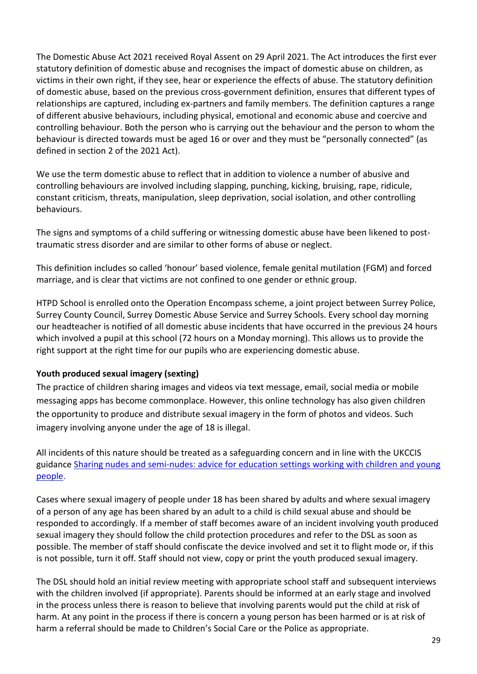The Domestic Abuse Act 2021 received Royal Assent on 29 April 2021. The Act introduces the first ever statutory definition of domestic abuse and recognises the impact of domestic abuse on children, as victims in their own right, if they see, hear or experience the effects of abuse. The statutory definition of domestic abuse, based on the previous cross-government definition, ensures that different types of relationships are captured, including ex-partners and family members. The definition captures a range of different abusive behaviours, including physical, emotional and economic abuse and coercive and controlling behaviour. Both the person who is carrying out the behaviour and the person to whom the behaviour is directed towards must be aged 16 or over and they must be "personally connected" (as defined in section 2 of the 2021 Act).

We use the term domestic abuse to reflect that in addition to violence a number of abusive and controlling behaviours are involved including slapping, punching, kicking, bruising, rape, ridicule, constant criticism, threats, manipulation, sleep deprivation, social isolation, and other controlling behaviours.

The signs and symptoms of a child suffering or witnessing domestic abuse have been likened to posttraumatic stress disorder and are similar to other forms of abuse or neglect.

This definition includes so called 'honour' based violence, female genital mutilation (FGM) and forced marriage, and is clear that victims are not confined to one gender or ethnic group.

HTPD School is enrolled onto the Operation Encompass scheme, a joint project between Surrey Police, Surrey County Council, Surrey Domestic Abuse Service and Surrey Schools. Every school day morning our headteacher is notified of all domestic abuse incidents that have occurred in the previous 24 hours which involved a pupil at this school (72 hours on a Monday morning). This allows us to provide the right support at the right time for our pupils who are experiencing domestic abuse.

### **Youth produced sexual imagery (sexting)**

The practice of children sharing images and videos via text message, email, social media or mobile messaging apps has become commonplace. However, this online technology has also given children the opportunity to produce and distribute sexual imagery in the form of photos and videos. Such imagery involving anyone under the age of 18 is illegal.

All incidents of this nature should be treated as a safeguarding concern and in line with the UKCCIS guidance [Sharing nudes and semi-nudes: advice for education settings working with children and young](https://www.gov.uk/government/publications/sharing-nudes-and-semi-nudes-advice-for-education-settings-working-with-children-and-young-people/sharing-nudes-and-semi-nudes-advice-for-education-settings-working-with-children-and-young-people)  [people.](https://www.gov.uk/government/publications/sharing-nudes-and-semi-nudes-advice-for-education-settings-working-with-children-and-young-people/sharing-nudes-and-semi-nudes-advice-for-education-settings-working-with-children-and-young-people)

Cases where sexual imagery of people under 18 has been shared by adults and where sexual imagery of a person of any age has been shared by an adult to a child is child sexual abuse and should be responded to accordingly. If a member of staff becomes aware of an incident involving youth produced sexual imagery they should follow the child protection procedures and refer to the DSL as soon as possible. The member of staff should confiscate the device involved and set it to flight mode or, if this is not possible, turn it off. Staff should not view, copy or print the youth produced sexual imagery.

The DSL should hold an initial review meeting with appropriate school staff and subsequent interviews with the children involved (if appropriate). Parents should be informed at an early stage and involved in the process unless there is reason to believe that involving parents would put the child at risk of harm. At any point in the process if there is concern a young person has been harmed or is at risk of harm a referral should be made to Children's Social Care or the Police as appropriate.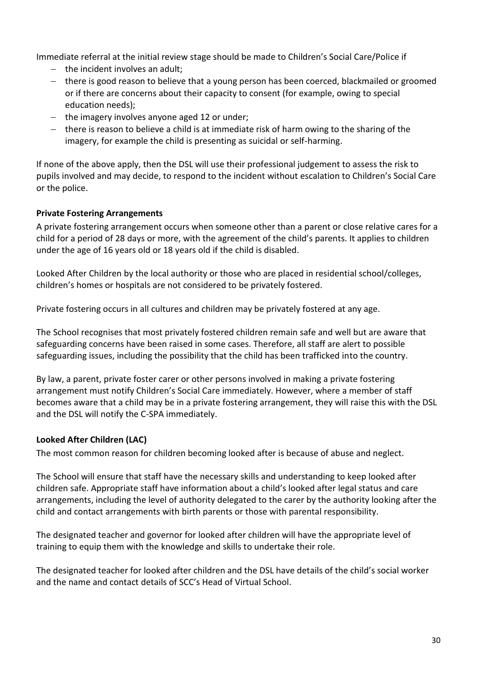Immediate referral at the initial review stage should be made to Children's Social Care/Police if

- $-$  the incident involves an adult;
- there is good reason to believe that a young person has been coerced, blackmailed or groomed or if there are concerns about their capacity to consent (for example, owing to special education needs);
- $-$  the imagery involves anyone aged 12 or under;
- there is reason to believe a child is at immediate risk of harm owing to the sharing of the imagery, for example the child is presenting as suicidal or self-harming.

If none of the above apply, then the DSL will use their professional judgement to assess the risk to pupils involved and may decide, to respond to the incident without escalation to Children's Social Care or the police.

### **Private Fostering Arrangements**

A private fostering arrangement occurs when someone other than a parent or close relative cares for a child for a period of 28 days or more, with the agreement of the child's parents. It applies to children under the age of 16 years old or 18 years old if the child is disabled.

Looked After Children by the local authority or those who are placed in residential school/colleges, children's homes or hospitals are not considered to be privately fostered.

Private fostering occurs in all cultures and children may be privately fostered at any age.

The School recognises that most privately fostered children remain safe and well but are aware that safeguarding concerns have been raised in some cases. Therefore, all staff are alert to possible safeguarding issues, including the possibility that the child has been trafficked into the country.

By law, a parent, private foster carer or other persons involved in making a private fostering arrangement must notify Children's Social Care immediately. However, where a member of staff becomes aware that a child may be in a private fostering arrangement, they will raise this with the DSL and the DSL will notify the C-SPA immediately.

### **Looked After Children (LAC)**

The most common reason for children becoming looked after is because of abuse and neglect.

The School will ensure that staff have the necessary skills and understanding to keep looked after children safe. Appropriate staff have information about a child's looked after legal status and care arrangements, including the level of authority delegated to the carer by the authority looking after the child and contact arrangements with birth parents or those with parental responsibility.

The designated teacher and governor for looked after children will have the appropriate level of training to equip them with the knowledge and skills to undertake their role.

The designated teacher for looked after children and the DSL have details of the child's social worker and the name and contact details of SCC's Head of Virtual School.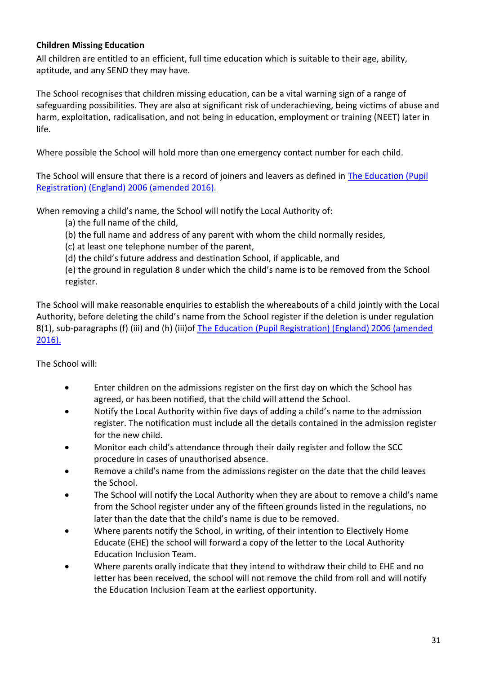### **Children Missing Education**

All children are entitled to an efficient, full time education which is suitable to their age, ability, aptitude, and any SEND they may have.

The School recognises that children missing education, can be a vital warning sign of a range of safeguarding possibilities. They are also at significant risk of underachieving, being victims of abuse and harm, exploitation, radicalisation, and not being in education, employment or training (NEET) later in life.

Where possible the School will hold more than one emergency contact number for each child.

The School will ensure that there is a record of joiners and leavers as defined in [The Education \(Pupil](https://www.kelsi.org.uk/news-and-events/news/primary/changes-to-the-education-pupil-registration-england-regulations-2006)  [Registration\) \(England\) 2006 \(amended 2016\).](https://www.kelsi.org.uk/news-and-events/news/primary/changes-to-the-education-pupil-registration-england-regulations-2006)

When removing a child's name, the School will notify the Local Authority of:

(a) the full name of the child,

(b) the full name and address of any parent with whom the child normally resides,

(c) at least one telephone number of the parent,

(d) the child's future address and destination School, if applicable, and

(e) the ground in regulation 8 under which the child's name is to be removed from the School register.

The School will make reasonable enquiries to establish the whereabouts of a child jointly with the Local Authority, before deleting the child's name from the School register if the deletion is under regulation 8(1), sub-paragraphs (f) (iii) and (h) (iii)of [The Education \(Pupil Registration\) \(England\) 2006 \(amended](https://www.kelsi.org.uk/news-and-events/news/primary/changes-to-the-education-pupil-registration-england-regulations-2006)  [2016\).](https://www.kelsi.org.uk/news-and-events/news/primary/changes-to-the-education-pupil-registration-england-regulations-2006)

The School will:

- Enter children on the admissions register on the first day on which the School has agreed, or has been notified, that the child will attend the School.
- Notify the Local Authority within five days of adding a child's name to the admission register. The notification must include all the details contained in the admission register for the new child.
- Monitor each child's attendance through their daily register and follow the SCC procedure in cases of unauthorised absence.
- Remove a child's name from the admissions register on the date that the child leaves the School.
- The School will notify the Local Authority when they are about to remove a child's name from the School register under any of the fifteen grounds listed in the regulations, no later than the date that the child's name is due to be removed.
- Where parents notify the School, in writing, of their intention to Electively Home Educate (EHE) the school will forward a copy of the letter to the Local Authority Education Inclusion Team.
- Where parents orally indicate that they intend to withdraw their child to EHE and no letter has been received, the school will not remove the child from roll and will notify the Education Inclusion Team at the earliest opportunity.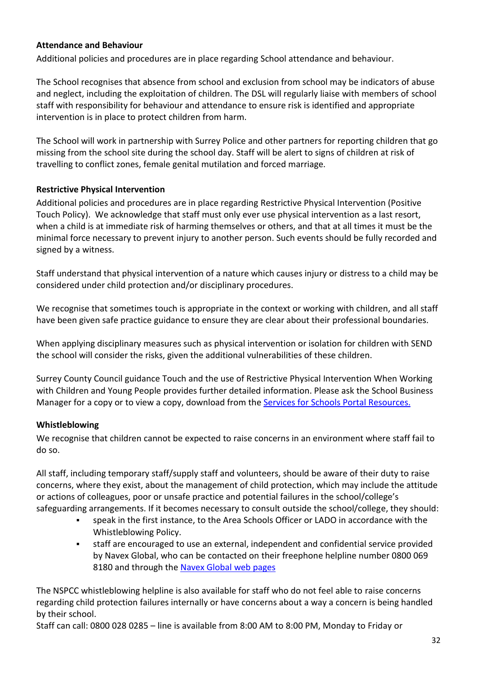### **Attendance and Behaviour**

Additional policies and procedures are in place regarding School attendance and behaviour.

The School recognises that absence from school and exclusion from school may be indicators of abuse and neglect, including the exploitation of children. The DSL will regularly liaise with members of school staff with responsibility for behaviour and attendance to ensure risk is identified and appropriate intervention is in place to protect children from harm.

The School will work in partnership with Surrey Police and other partners for reporting children that go missing from the school site during the school day. Staff will be alert to signs of children at risk of travelling to conflict zones, female genital mutilation and forced marriage.

### **Restrictive Physical Intervention**

Additional policies and procedures are in place regarding Restrictive Physical Intervention (Positive Touch Policy). We acknowledge that staff must only ever use physical intervention as a last resort, when a child is at immediate risk of harming themselves or others, and that at all times it must be the minimal force necessary to prevent injury to another person. Such events should be fully recorded and signed by a witness.

Staff understand that physical intervention of a nature which causes injury or distress to a child may be considered under child protection and/or disciplinary procedures.

We recognise that sometimes touch is appropriate in the context or working with children, and all staff have been given safe practice guidance to ensure they are clear about their professional boundaries.

When applying disciplinary measures such as physical intervention or isolation for children with SEND the school will consider the risks, given the additional vulnerabilities of these children.

Surrey County Council guidance Touch and the use of Restrictive Physical Intervention When Working with Children and Young People provides further detailed information. Please ask the School Business Manager for a copy or to view a copy, download from the [Services for Schools Portal](https://servicesforschools.surreycc.gov.uk/) Resources.

### **Whistleblowing**

We recognise that children cannot be expected to raise concerns in an environment where staff fail to do so.

All staff, including temporary staff/supply staff and volunteers, should be aware of their duty to raise concerns, where they exist, about the management of child protection, which may include the attitude or actions of colleagues, poor or unsafe practice and potential failures in the school/college's safeguarding arrangements. If it becomes necessary to consult outside the school/college, they should:

- speak in the first instance, to the Area Schools Officer or LADO in accordance with the Whistleblowing Policy.
- staff are encouraged to use an external, independent and confidential service provided by Navex Global, who can be contacted on their freephone helpline number 0800 069 8180 and through the [Navex Global web pages](https://secure.ethicspoint.eu/domain/media/en/gui/107090/index.html)

The NSPCC whistleblowing helpline is also available for staff who do not feel able to raise concerns regarding child protection failures internally or have concerns about a way a concern is being handled by their school.

Staff can call: 0800 028 0285 – line is available from 8:00 AM to 8:00 PM, Monday to Friday or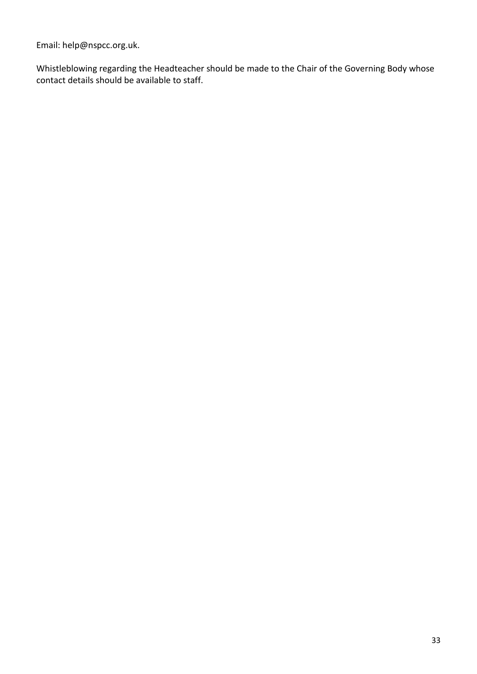Email: help@nspcc.org.uk.

Whistleblowing regarding the Headteacher should be made to the Chair of the Governing Body whose contact details should be available to staff.